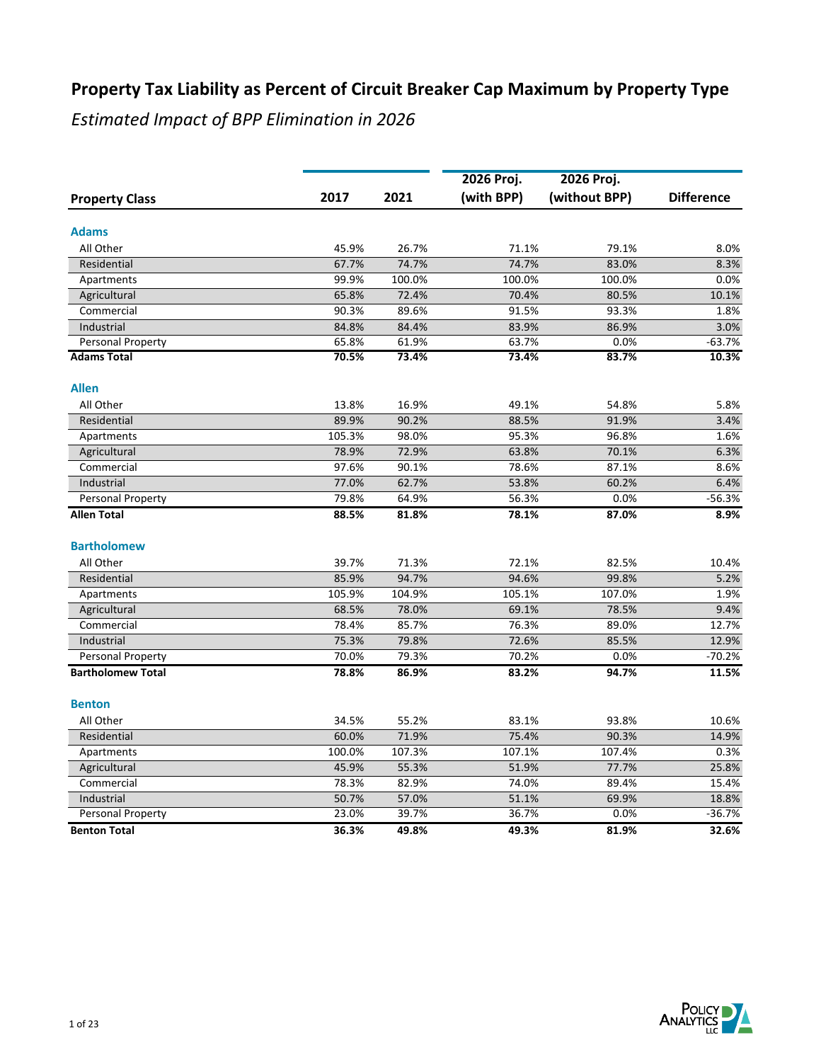|                          |        |        | 2026 Proj. | 2026 Proj.    |                   |
|--------------------------|--------|--------|------------|---------------|-------------------|
| <b>Property Class</b>    | 2017   | 2021   | (with BPP) | (without BPP) | <b>Difference</b> |
| <b>Adams</b>             |        |        |            |               |                   |
| All Other                | 45.9%  | 26.7%  | 71.1%      | 79.1%         | 8.0%              |
| Residential              | 67.7%  | 74.7%  | 74.7%      | 83.0%         | 8.3%              |
| Apartments               | 99.9%  | 100.0% | 100.0%     | 100.0%        | 0.0%              |
| Agricultural             | 65.8%  | 72.4%  | 70.4%      | 80.5%         | 10.1%             |
| Commercial               | 90.3%  | 89.6%  | 91.5%      | 93.3%         | 1.8%              |
| Industrial               | 84.8%  | 84.4%  | 83.9%      | 86.9%         | 3.0%              |
| Personal Property        | 65.8%  | 61.9%  | 63.7%      | 0.0%          | $-63.7%$          |
| <b>Adams Total</b>       | 70.5%  | 73.4%  | 73.4%      | 83.7%         | 10.3%             |
| <b>Allen</b>             |        |        |            |               |                   |
| All Other                | 13.8%  | 16.9%  | 49.1%      | 54.8%         | 5.8%              |
| Residential              | 89.9%  | 90.2%  | 88.5%      | 91.9%         | 3.4%              |
| Apartments               | 105.3% | 98.0%  | 95.3%      | 96.8%         | 1.6%              |
| Agricultural             | 78.9%  | 72.9%  | 63.8%      | 70.1%         | 6.3%              |
| Commercial               | 97.6%  | 90.1%  | 78.6%      | 87.1%         | 8.6%              |
| Industrial               | 77.0%  | 62.7%  | 53.8%      | 60.2%         | 6.4%              |
| Personal Property        | 79.8%  | 64.9%  | 56.3%      | 0.0%          | $-56.3%$          |
| <b>Allen Total</b>       | 88.5%  | 81.8%  | 78.1%      | 87.0%         | 8.9%              |
| <b>Bartholomew</b>       |        |        |            |               |                   |
| All Other                | 39.7%  | 71.3%  | 72.1%      | 82.5%         | 10.4%             |
| Residential              | 85.9%  | 94.7%  | 94.6%      | 99.8%         | 5.2%              |
| Apartments               | 105.9% | 104.9% | 105.1%     | 107.0%        | 1.9%              |
| Agricultural             | 68.5%  | 78.0%  | 69.1%      | 78.5%         | 9.4%              |
| Commercial               | 78.4%  | 85.7%  | 76.3%      | 89.0%         | 12.7%             |
| Industrial               | 75.3%  | 79.8%  | 72.6%      | 85.5%         | 12.9%             |
| Personal Property        | 70.0%  | 79.3%  | 70.2%      | 0.0%          | $-70.2%$          |
| <b>Bartholomew Total</b> | 78.8%  | 86.9%  | 83.2%      | 94.7%         | 11.5%             |
| <b>Benton</b>            |        |        |            |               |                   |
| All Other                | 34.5%  | 55.2%  | 83.1%      | 93.8%         | 10.6%             |
| Residential              | 60.0%  | 71.9%  | 75.4%      | 90.3%         | 14.9%             |
| Apartments               | 100.0% | 107.3% | 107.1%     | 107.4%        | 0.3%              |
| Agricultural             | 45.9%  | 55.3%  | 51.9%      | 77.7%         | 25.8%             |
| Commercial               | 78.3%  | 82.9%  | 74.0%      | 89.4%         | 15.4%             |
| Industrial               | 50.7%  | 57.0%  | 51.1%      | 69.9%         | 18.8%             |
| Personal Property        | 23.0%  | 39.7%  | 36.7%      | 0.0%          | $-36.7%$          |
| <b>Benton Total</b>      | 36.3%  | 49.8%  | 49.3%      | 81.9%         | 32.6%             |

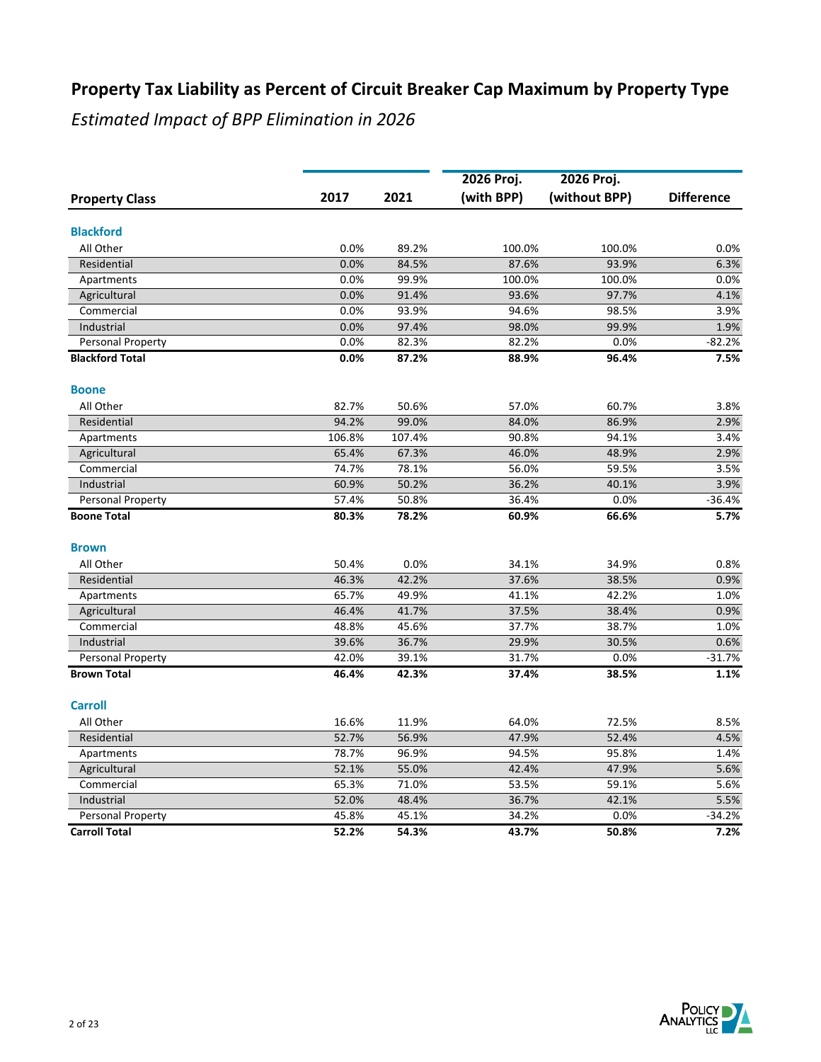|                        |        |        | 2026 Proj. | 2026 Proj.    |                   |
|------------------------|--------|--------|------------|---------------|-------------------|
| <b>Property Class</b>  | 2017   | 2021   | (with BPP) | (without BPP) | <b>Difference</b> |
|                        |        |        |            |               |                   |
| <b>Blackford</b>       |        |        |            |               |                   |
| All Other              | 0.0%   | 89.2%  | 100.0%     | 100.0%        | 0.0%              |
| Residential            | 0.0%   | 84.5%  | 87.6%      | 93.9%         | 6.3%              |
| Apartments             | 0.0%   | 99.9%  | 100.0%     | 100.0%        | 0.0%              |
| Agricultural           | 0.0%   | 91.4%  | 93.6%      | 97.7%         | 4.1%              |
| Commercial             | 0.0%   | 93.9%  | 94.6%      | 98.5%         | 3.9%              |
| Industrial             | 0.0%   | 97.4%  | 98.0%      | 99.9%         | 1.9%              |
| Personal Property      | 0.0%   | 82.3%  | 82.2%      | 0.0%          | $-82.2%$          |
| <b>Blackford Total</b> | 0.0%   | 87.2%  | 88.9%      | 96.4%         | 7.5%              |
| <b>Boone</b>           |        |        |            |               |                   |
| All Other              | 82.7%  | 50.6%  | 57.0%      | 60.7%         | 3.8%              |
| Residential            | 94.2%  | 99.0%  | 84.0%      | 86.9%         | 2.9%              |
| Apartments             | 106.8% | 107.4% | 90.8%      | 94.1%         | 3.4%              |
| Agricultural           | 65.4%  | 67.3%  | 46.0%      | 48.9%         | 2.9%              |
| Commercial             | 74.7%  | 78.1%  | 56.0%      | 59.5%         | 3.5%              |
| Industrial             | 60.9%  | 50.2%  | 36.2%      | 40.1%         | 3.9%              |
| Personal Property      | 57.4%  | 50.8%  | 36.4%      | 0.0%          | $-36.4%$          |
| <b>Boone Total</b>     | 80.3%  | 78.2%  | 60.9%      | 66.6%         | 5.7%              |
| <b>Brown</b>           |        |        |            |               |                   |
| All Other              | 50.4%  | 0.0%   | 34.1%      | 34.9%         | 0.8%              |
| Residential            | 46.3%  | 42.2%  | 37.6%      | 38.5%         | 0.9%              |
| Apartments             | 65.7%  | 49.9%  | 41.1%      | 42.2%         | 1.0%              |
| Agricultural           | 46.4%  | 41.7%  | 37.5%      | 38.4%         | 0.9%              |
| Commercial             | 48.8%  | 45.6%  | 37.7%      | 38.7%         | 1.0%              |
| Industrial             | 39.6%  | 36.7%  | 29.9%      | 30.5%         | 0.6%              |
| Personal Property      | 42.0%  | 39.1%  | 31.7%      | 0.0%          | $-31.7%$          |
| <b>Brown Total</b>     | 46.4%  | 42.3%  | 37.4%      | 38.5%         | 1.1%              |
| <b>Carroll</b>         |        |        |            |               |                   |
| All Other              | 16.6%  | 11.9%  | 64.0%      | 72.5%         | 8.5%              |
| Residential            | 52.7%  | 56.9%  | 47.9%      | 52.4%         | 4.5%              |
| Apartments             | 78.7%  | 96.9%  | 94.5%      | 95.8%         | 1.4%              |
| Agricultural           | 52.1%  | 55.0%  | 42.4%      | 47.9%         | 5.6%              |
| Commercial             | 65.3%  | 71.0%  | 53.5%      | 59.1%         | 5.6%              |
| Industrial             | 52.0%  | 48.4%  | 36.7%      | 42.1%         | 5.5%              |
| Personal Property      | 45.8%  | 45.1%  | 34.2%      | 0.0%          | $-34.2%$          |
| <b>Carroll Total</b>   | 52.2%  | 54.3%  | 43.7%      | 50.8%         | 7.2%              |

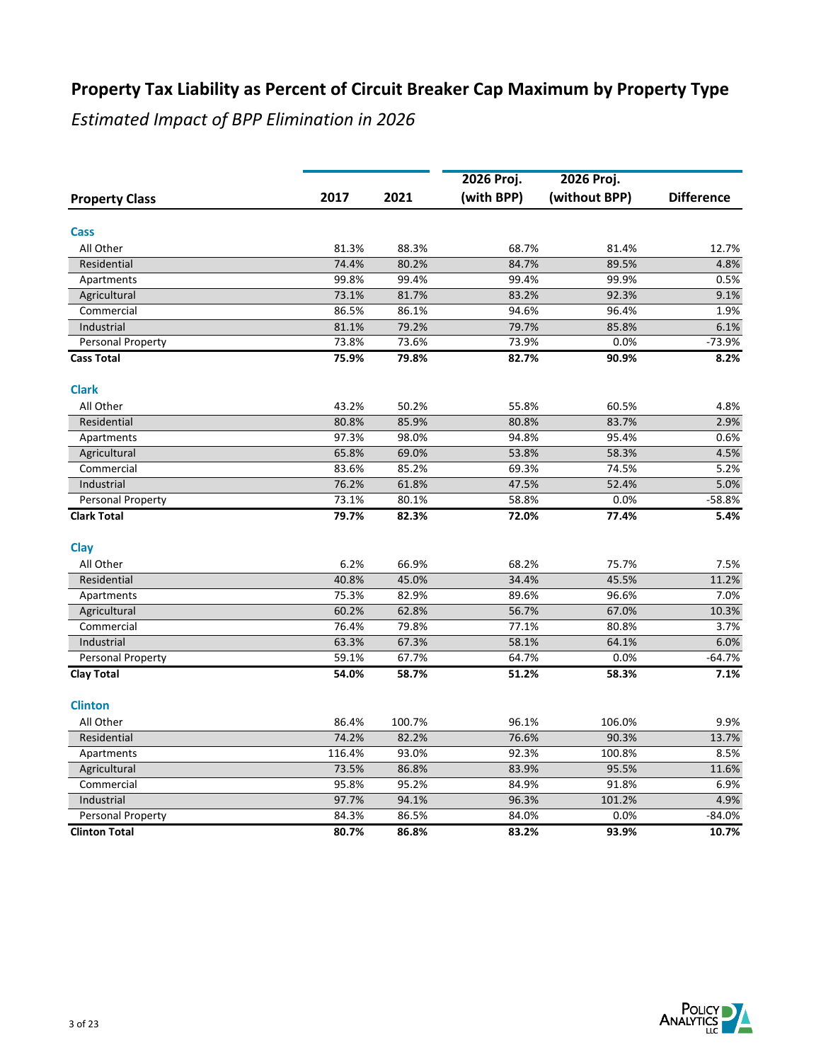|                       |        |        | 2026 Proj. | 2026 Proj.    |                   |
|-----------------------|--------|--------|------------|---------------|-------------------|
| <b>Property Class</b> | 2017   | 2021   | (with BPP) | (without BPP) | <b>Difference</b> |
|                       |        |        |            |               |                   |
| Cass                  |        |        |            |               |                   |
| All Other             | 81.3%  | 88.3%  | 68.7%      | 81.4%         | 12.7%             |
| Residential           | 74.4%  | 80.2%  | 84.7%      | 89.5%         | 4.8%              |
| Apartments            | 99.8%  | 99.4%  | 99.4%      | 99.9%         | 0.5%              |
| Agricultural          | 73.1%  | 81.7%  | 83.2%      | 92.3%         | 9.1%              |
| Commercial            | 86.5%  | 86.1%  | 94.6%      | 96.4%         | 1.9%              |
| Industrial            | 81.1%  | 79.2%  | 79.7%      | 85.8%         | 6.1%              |
| Personal Property     | 73.8%  | 73.6%  | 73.9%      | 0.0%          | $-73.9%$          |
| <b>Cass Total</b>     | 75.9%  | 79.8%  | 82.7%      | 90.9%         | 8.2%              |
| <b>Clark</b>          |        |        |            |               |                   |
| All Other             | 43.2%  | 50.2%  | 55.8%      | 60.5%         | 4.8%              |
| Residential           | 80.8%  | 85.9%  | 80.8%      | 83.7%         | 2.9%              |
| Apartments            | 97.3%  | 98.0%  | 94.8%      | 95.4%         | 0.6%              |
| Agricultural          | 65.8%  | 69.0%  | 53.8%      | 58.3%         | 4.5%              |
| Commercial            | 83.6%  | 85.2%  | 69.3%      | 74.5%         | 5.2%              |
| Industrial            | 76.2%  | 61.8%  | 47.5%      | 52.4%         | 5.0%              |
| Personal Property     | 73.1%  | 80.1%  | 58.8%      | 0.0%          | $-58.8%$          |
| <b>Clark Total</b>    | 79.7%  | 82.3%  | 72.0%      | 77.4%         | 5.4%              |
| Clay                  |        |        |            |               |                   |
| All Other             | 6.2%   | 66.9%  | 68.2%      | 75.7%         | 7.5%              |
| Residential           | 40.8%  | 45.0%  | 34.4%      | 45.5%         | 11.2%             |
| Apartments            | 75.3%  | 82.9%  | 89.6%      | 96.6%         | 7.0%              |
| Agricultural          | 60.2%  | 62.8%  | 56.7%      | 67.0%         | 10.3%             |
| Commercial            | 76.4%  | 79.8%  | 77.1%      | 80.8%         | 3.7%              |
| Industrial            | 63.3%  | 67.3%  | 58.1%      | 64.1%         | 6.0%              |
| Personal Property     | 59.1%  | 67.7%  | 64.7%      | 0.0%          | $-64.7%$          |
| <b>Clay Total</b>     | 54.0%  | 58.7%  | 51.2%      | 58.3%         | 7.1%              |
| <b>Clinton</b>        |        |        |            |               |                   |
| All Other             | 86.4%  | 100.7% | 96.1%      | 106.0%        | 9.9%              |
| Residential           | 74.2%  | 82.2%  | 76.6%      | 90.3%         | 13.7%             |
| Apartments            | 116.4% | 93.0%  | 92.3%      | 100.8%        | 8.5%              |
| Agricultural          | 73.5%  | 86.8%  | 83.9%      | 95.5%         | 11.6%             |
| Commercial            | 95.8%  | 95.2%  | 84.9%      | 91.8%         | 6.9%              |
| Industrial            | 97.7%  | 94.1%  | 96.3%      | 101.2%        | 4.9%              |
| Personal Property     | 84.3%  | 86.5%  | 84.0%      | 0.0%          | $-84.0%$          |
| <b>Clinton Total</b>  | 80.7%  | 86.8%  | 83.2%      | 93.9%         | 10.7%             |

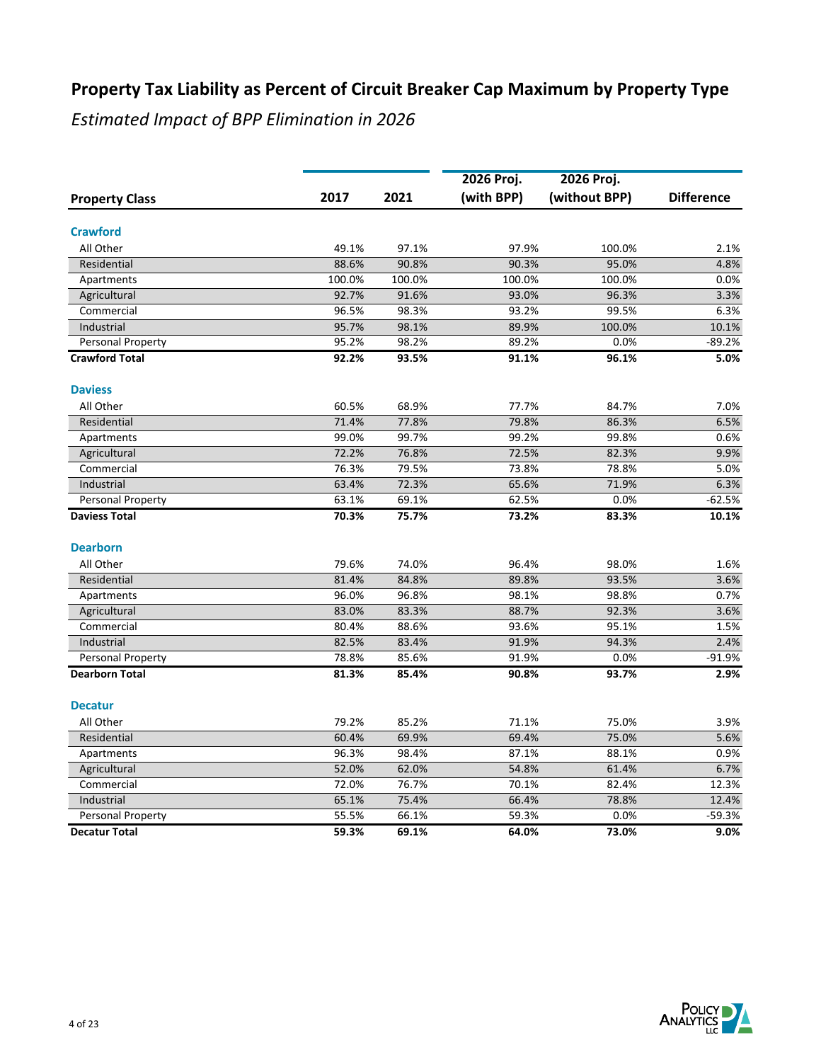|                       |        |        | 2026 Proj. | 2026 Proj.    |                   |
|-----------------------|--------|--------|------------|---------------|-------------------|
| <b>Property Class</b> | 2017   | 2021   | (with BPP) | (without BPP) | <b>Difference</b> |
| <b>Crawford</b>       |        |        |            |               |                   |
| All Other             | 49.1%  | 97.1%  | 97.9%      | 100.0%        | 2.1%              |
| Residential           | 88.6%  | 90.8%  | 90.3%      | 95.0%         | 4.8%              |
| Apartments            | 100.0% | 100.0% | 100.0%     | 100.0%        | 0.0%              |
| Agricultural          | 92.7%  | 91.6%  | 93.0%      | 96.3%         | 3.3%              |
| Commercial            | 96.5%  | 98.3%  | 93.2%      | 99.5%         | 6.3%              |
| Industrial            | 95.7%  | 98.1%  | 89.9%      | 100.0%        | 10.1%             |
| Personal Property     | 95.2%  | 98.2%  | 89.2%      | 0.0%          | $-89.2%$          |
| <b>Crawford Total</b> | 92.2%  | 93.5%  | 91.1%      | 96.1%         | 5.0%              |
| <b>Daviess</b>        |        |        |            |               |                   |
| All Other             | 60.5%  | 68.9%  | 77.7%      | 84.7%         | 7.0%              |
| Residential           | 71.4%  | 77.8%  | 79.8%      | 86.3%         | 6.5%              |
| Apartments            | 99.0%  | 99.7%  | 99.2%      | 99.8%         | 0.6%              |
| Agricultural          | 72.2%  | 76.8%  | 72.5%      | 82.3%         | 9.9%              |
| Commercial            | 76.3%  | 79.5%  | 73.8%      | 78.8%         | 5.0%              |
| Industrial            | 63.4%  | 72.3%  | 65.6%      | 71.9%         | 6.3%              |
| Personal Property     | 63.1%  | 69.1%  | 62.5%      | 0.0%          | $-62.5%$          |
| <b>Daviess Total</b>  | 70.3%  | 75.7%  | 73.2%      | 83.3%         | 10.1%             |
| <b>Dearborn</b>       |        |        |            |               |                   |
| All Other             | 79.6%  | 74.0%  | 96.4%      | 98.0%         | 1.6%              |
| Residential           | 81.4%  | 84.8%  | 89.8%      | 93.5%         | 3.6%              |
| Apartments            | 96.0%  | 96.8%  | 98.1%      | 98.8%         | 0.7%              |
| Agricultural          | 83.0%  | 83.3%  | 88.7%      | 92.3%         | 3.6%              |
| Commercial            | 80.4%  | 88.6%  | 93.6%      | 95.1%         | 1.5%              |
| Industrial            | 82.5%  | 83.4%  | 91.9%      | 94.3%         | 2.4%              |
| Personal Property     | 78.8%  | 85.6%  | 91.9%      | 0.0%          | $-91.9%$          |
| <b>Dearborn Total</b> | 81.3%  | 85.4%  | 90.8%      | 93.7%         | 2.9%              |
| <b>Decatur</b>        |        |        |            |               |                   |
| All Other             | 79.2%  | 85.2%  | 71.1%      | 75.0%         | 3.9%              |
| Residential           | 60.4%  | 69.9%  | 69.4%      | 75.0%         | 5.6%              |
| Apartments            | 96.3%  | 98.4%  | 87.1%      | 88.1%         | 0.9%              |
| Agricultural          | 52.0%  | 62.0%  | 54.8%      | 61.4%         | 6.7%              |
| Commercial            | 72.0%  | 76.7%  | 70.1%      | 82.4%         | 12.3%             |
| Industrial            | 65.1%  | 75.4%  | 66.4%      | 78.8%         | 12.4%             |
| Personal Property     | 55.5%  | 66.1%  | 59.3%      | 0.0%          | $-59.3%$          |
| <b>Decatur Total</b>  | 59.3%  | 69.1%  | 64.0%      | 73.0%         | 9.0%              |

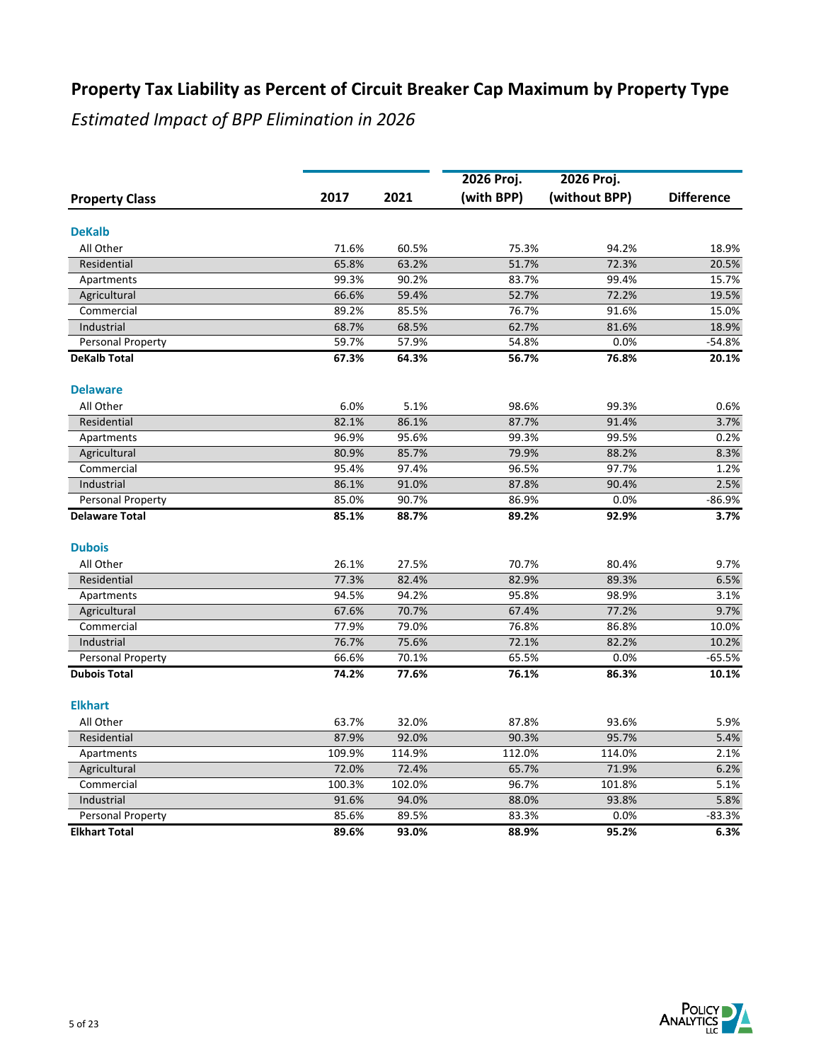|                       |        |        | 2026 Proj. | 2026 Proj.    |                   |
|-----------------------|--------|--------|------------|---------------|-------------------|
| <b>Property Class</b> | 2017   | 2021   | (with BPP) | (without BPP) | <b>Difference</b> |
| <b>DeKalb</b>         |        |        |            |               |                   |
| All Other             | 71.6%  | 60.5%  | 75.3%      | 94.2%         | 18.9%             |
| Residential           | 65.8%  | 63.2%  | 51.7%      | 72.3%         | 20.5%             |
| Apartments            | 99.3%  | 90.2%  | 83.7%      | 99.4%         | 15.7%             |
| Agricultural          | 66.6%  | 59.4%  | 52.7%      | 72.2%         | 19.5%             |
| Commercial            | 89.2%  | 85.5%  | 76.7%      | 91.6%         | 15.0%             |
| Industrial            | 68.7%  | 68.5%  | 62.7%      | 81.6%         | 18.9%             |
| Personal Property     | 59.7%  | 57.9%  | 54.8%      | 0.0%          | $-54.8%$          |
| <b>DeKalb Total</b>   | 67.3%  | 64.3%  | 56.7%      | 76.8%         | 20.1%             |
| <b>Delaware</b>       |        |        |            |               |                   |
| All Other             | 6.0%   | 5.1%   | 98.6%      | 99.3%         | 0.6%              |
| Residential           | 82.1%  | 86.1%  | 87.7%      | 91.4%         | 3.7%              |
| Apartments            | 96.9%  | 95.6%  | 99.3%      | 99.5%         | 0.2%              |
| Agricultural          | 80.9%  | 85.7%  | 79.9%      | 88.2%         | 8.3%              |
| Commercial            | 95.4%  | 97.4%  | 96.5%      | 97.7%         | 1.2%              |
| Industrial            | 86.1%  | 91.0%  | 87.8%      | 90.4%         | 2.5%              |
| Personal Property     | 85.0%  | 90.7%  | 86.9%      | 0.0%          | $-86.9%$          |
| <b>Delaware Total</b> | 85.1%  | 88.7%  | 89.2%      | 92.9%         | 3.7%              |
| <b>Dubois</b>         |        |        |            |               |                   |
| All Other             | 26.1%  | 27.5%  | 70.7%      | 80.4%         | 9.7%              |
| Residential           | 77.3%  | 82.4%  | 82.9%      | 89.3%         | 6.5%              |
| Apartments            | 94.5%  | 94.2%  | 95.8%      | 98.9%         | 3.1%              |
| Agricultural          | 67.6%  | 70.7%  | 67.4%      | 77.2%         | 9.7%              |
| Commercial            | 77.9%  | 79.0%  | 76.8%      | 86.8%         | 10.0%             |
| Industrial            | 76.7%  | 75.6%  | 72.1%      | 82.2%         | 10.2%             |
| Personal Property     | 66.6%  | 70.1%  | 65.5%      | 0.0%          | $-65.5%$          |
| <b>Dubois Total</b>   | 74.2%  | 77.6%  | 76.1%      | 86.3%         | 10.1%             |
| <b>Elkhart</b>        |        |        |            |               |                   |
| All Other             | 63.7%  | 32.0%  | 87.8%      | 93.6%         | 5.9%              |
| Residential           | 87.9%  | 92.0%  | 90.3%      | 95.7%         | 5.4%              |
| Apartments            | 109.9% | 114.9% | 112.0%     | 114.0%        | 2.1%              |
| Agricultural          | 72.0%  | 72.4%  | 65.7%      | 71.9%         | 6.2%              |
| Commercial            | 100.3% | 102.0% | 96.7%      | 101.8%        | 5.1%              |
| Industrial            | 91.6%  | 94.0%  | 88.0%      | 93.8%         | 5.8%              |
| Personal Property     | 85.6%  | 89.5%  | 83.3%      | 0.0%          | $-83.3%$          |
| <b>Elkhart Total</b>  | 89.6%  | 93.0%  | 88.9%      | 95.2%         | 6.3%              |

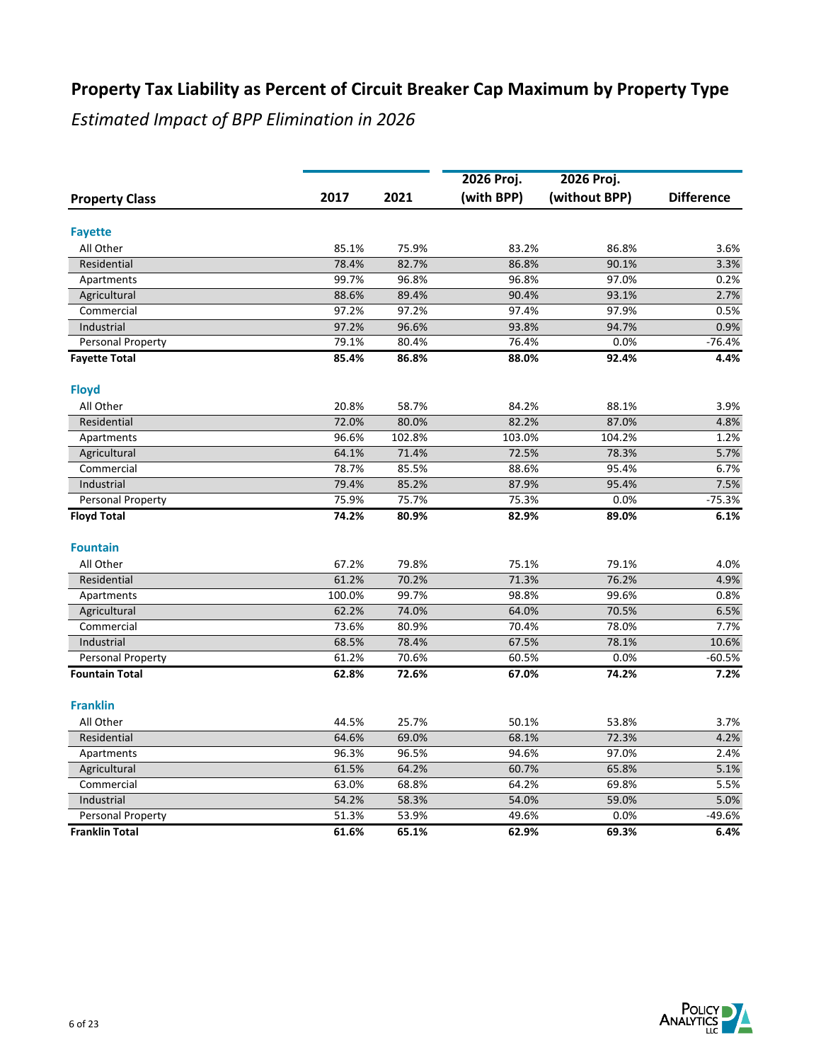|                       |        |        | 2026 Proj. | 2026 Proj.    |                   |
|-----------------------|--------|--------|------------|---------------|-------------------|
| <b>Property Class</b> | 2017   | 2021   | (with BPP) | (without BPP) | <b>Difference</b> |
|                       |        |        |            |               |                   |
| <b>Fayette</b>        |        |        |            |               |                   |
| All Other             | 85.1%  | 75.9%  | 83.2%      | 86.8%         | 3.6%              |
| Residential           | 78.4%  | 82.7%  | 86.8%      | 90.1%         | 3.3%              |
| Apartments            | 99.7%  | 96.8%  | 96.8%      | 97.0%         | 0.2%              |
| Agricultural          | 88.6%  | 89.4%  | 90.4%      | 93.1%         | 2.7%              |
| Commercial            | 97.2%  | 97.2%  | 97.4%      | 97.9%         | 0.5%              |
| Industrial            | 97.2%  | 96.6%  | 93.8%      | 94.7%         | 0.9%              |
| Personal Property     | 79.1%  | 80.4%  | 76.4%      | 0.0%          | $-76.4%$          |
| <b>Fayette Total</b>  | 85.4%  | 86.8%  | 88.0%      | 92.4%         | 4.4%              |
| <b>Floyd</b>          |        |        |            |               |                   |
| All Other             | 20.8%  | 58.7%  | 84.2%      | 88.1%         | 3.9%              |
| Residential           | 72.0%  | 80.0%  | 82.2%      | 87.0%         | 4.8%              |
| Apartments            | 96.6%  | 102.8% | 103.0%     | 104.2%        | 1.2%              |
| Agricultural          | 64.1%  | 71.4%  | 72.5%      | 78.3%         | 5.7%              |
| Commercial            | 78.7%  | 85.5%  | 88.6%      | 95.4%         | 6.7%              |
| Industrial            | 79.4%  | 85.2%  | 87.9%      | 95.4%         | 7.5%              |
| Personal Property     | 75.9%  | 75.7%  | 75.3%      | 0.0%          | $-75.3%$          |
| <b>Floyd Total</b>    | 74.2%  | 80.9%  | 82.9%      | 89.0%         | 6.1%              |
| <b>Fountain</b>       |        |        |            |               |                   |
| All Other             | 67.2%  | 79.8%  | 75.1%      | 79.1%         | 4.0%              |
| Residential           | 61.2%  | 70.2%  | 71.3%      | 76.2%         | 4.9%              |
| Apartments            | 100.0% | 99.7%  | 98.8%      | 99.6%         | 0.8%              |
| Agricultural          | 62.2%  | 74.0%  | 64.0%      | 70.5%         | 6.5%              |
| Commercial            | 73.6%  | 80.9%  | 70.4%      | 78.0%         | 7.7%              |
| Industrial            | 68.5%  | 78.4%  | 67.5%      | 78.1%         | 10.6%             |
| Personal Property     | 61.2%  | 70.6%  | 60.5%      | 0.0%          | $-60.5%$          |
| <b>Fountain Total</b> | 62.8%  | 72.6%  | 67.0%      | 74.2%         | 7.2%              |
| <b>Franklin</b>       |        |        |            |               |                   |
| All Other             | 44.5%  | 25.7%  | 50.1%      | 53.8%         | 3.7%              |
| Residential           | 64.6%  | 69.0%  | 68.1%      | 72.3%         | 4.2%              |
| Apartments            | 96.3%  | 96.5%  | 94.6%      | 97.0%         | 2.4%              |
| Agricultural          | 61.5%  | 64.2%  | 60.7%      | 65.8%         | 5.1%              |
| Commercial            | 63.0%  | 68.8%  | 64.2%      | 69.8%         | 5.5%              |
| Industrial            | 54.2%  | 58.3%  | 54.0%      | 59.0%         | 5.0%              |
| Personal Property     | 51.3%  | 53.9%  | 49.6%      | 0.0%          | $-49.6%$          |
| <b>Franklin Total</b> | 61.6%  | 65.1%  | 62.9%      | 69.3%         | 6.4%              |
|                       |        |        |            |               |                   |

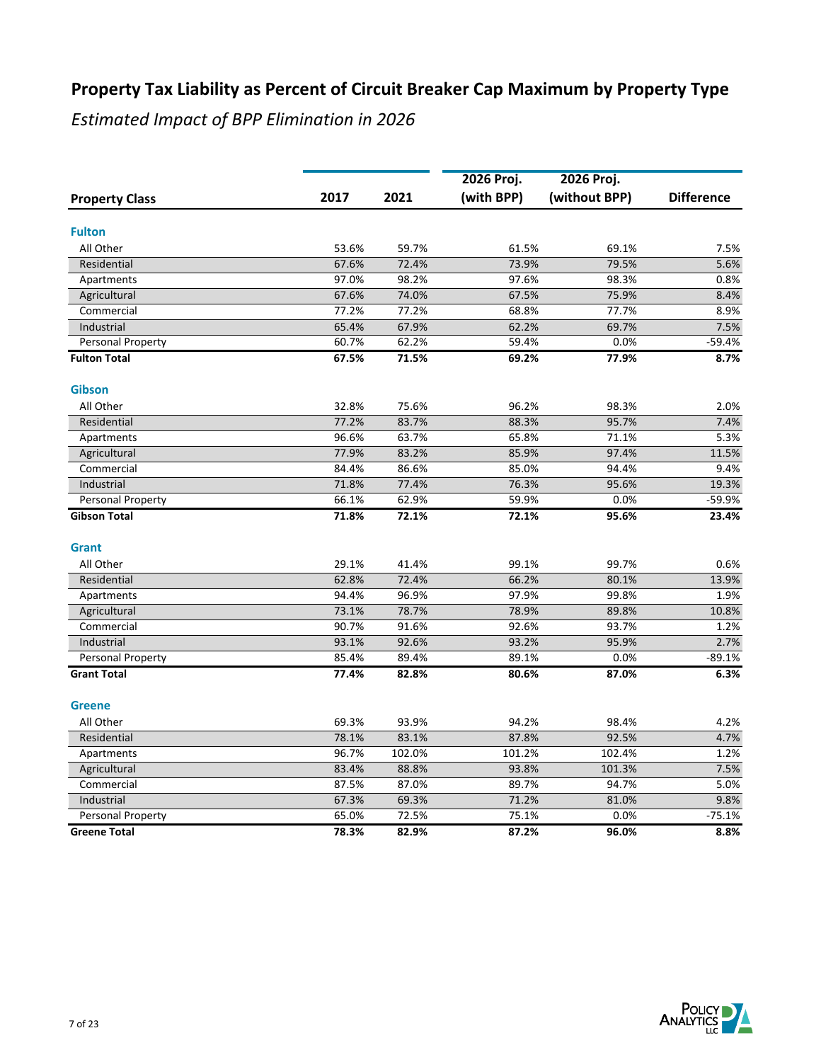|                       |       |        | 2026 Proj. | 2026 Proj.    |                   |
|-----------------------|-------|--------|------------|---------------|-------------------|
| <b>Property Class</b> | 2017  | 2021   | (with BPP) | (without BPP) | <b>Difference</b> |
|                       |       |        |            |               |                   |
| <b>Fulton</b>         |       |        |            |               |                   |
| All Other             | 53.6% | 59.7%  | 61.5%      | 69.1%         | 7.5%              |
| Residential           | 67.6% | 72.4%  | 73.9%      | 79.5%         | 5.6%              |
| Apartments            | 97.0% | 98.2%  | 97.6%      | 98.3%         | 0.8%              |
| Agricultural          | 67.6% | 74.0%  | 67.5%      | 75.9%         | 8.4%              |
| Commercial            | 77.2% | 77.2%  | 68.8%      | 77.7%         | 8.9%              |
| Industrial            | 65.4% | 67.9%  | 62.2%      | 69.7%         | 7.5%              |
| Personal Property     | 60.7% | 62.2%  | 59.4%      | 0.0%          | $-59.4%$          |
| <b>Fulton Total</b>   | 67.5% | 71.5%  | 69.2%      | 77.9%         | 8.7%              |
| <b>Gibson</b>         |       |        |            |               |                   |
| All Other             | 32.8% | 75.6%  | 96.2%      | 98.3%         | 2.0%              |
| Residential           | 77.2% | 83.7%  | 88.3%      | 95.7%         | 7.4%              |
| Apartments            | 96.6% | 63.7%  | 65.8%      | 71.1%         | 5.3%              |
| Agricultural          | 77.9% | 83.2%  | 85.9%      | 97.4%         | 11.5%             |
| Commercial            | 84.4% | 86.6%  | 85.0%      | 94.4%         | 9.4%              |
| Industrial            | 71.8% | 77.4%  | 76.3%      | 95.6%         | 19.3%             |
| Personal Property     | 66.1% | 62.9%  | 59.9%      | 0.0%          | $-59.9%$          |
| <b>Gibson Total</b>   | 71.8% | 72.1%  | 72.1%      | 95.6%         | 23.4%             |
| Grant                 |       |        |            |               |                   |
| All Other             | 29.1% | 41.4%  | 99.1%      | 99.7%         | 0.6%              |
| Residential           | 62.8% | 72.4%  | 66.2%      | 80.1%         | 13.9%             |
| Apartments            | 94.4% | 96.9%  | 97.9%      | 99.8%         | 1.9%              |
| Agricultural          | 73.1% | 78.7%  | 78.9%      | 89.8%         | 10.8%             |
| Commercial            | 90.7% | 91.6%  | 92.6%      | 93.7%         | 1.2%              |
| Industrial            | 93.1% | 92.6%  | 93.2%      | 95.9%         | 2.7%              |
| Personal Property     | 85.4% | 89.4%  | 89.1%      | 0.0%          | $-89.1%$          |
| <b>Grant Total</b>    | 77.4% | 82.8%  | 80.6%      | 87.0%         | 6.3%              |
| <b>Greene</b>         |       |        |            |               |                   |
| All Other             | 69.3% | 93.9%  | 94.2%      | 98.4%         | 4.2%              |
| Residential           | 78.1% | 83.1%  | 87.8%      | 92.5%         | 4.7%              |
| Apartments            | 96.7% | 102.0% | 101.2%     | 102.4%        | 1.2%              |
| Agricultural          | 83.4% | 88.8%  | 93.8%      | 101.3%        | 7.5%              |
| Commercial            | 87.5% | 87.0%  | 89.7%      | 94.7%         | 5.0%              |
| Industrial            | 67.3% | 69.3%  | 71.2%      | 81.0%         | 9.8%              |
| Personal Property     | 65.0% | 72.5%  | 75.1%      | 0.0%          | $-75.1%$          |
| <b>Greene Total</b>   | 78.3% | 82.9%  | 87.2%      | 96.0%         | 8.8%              |

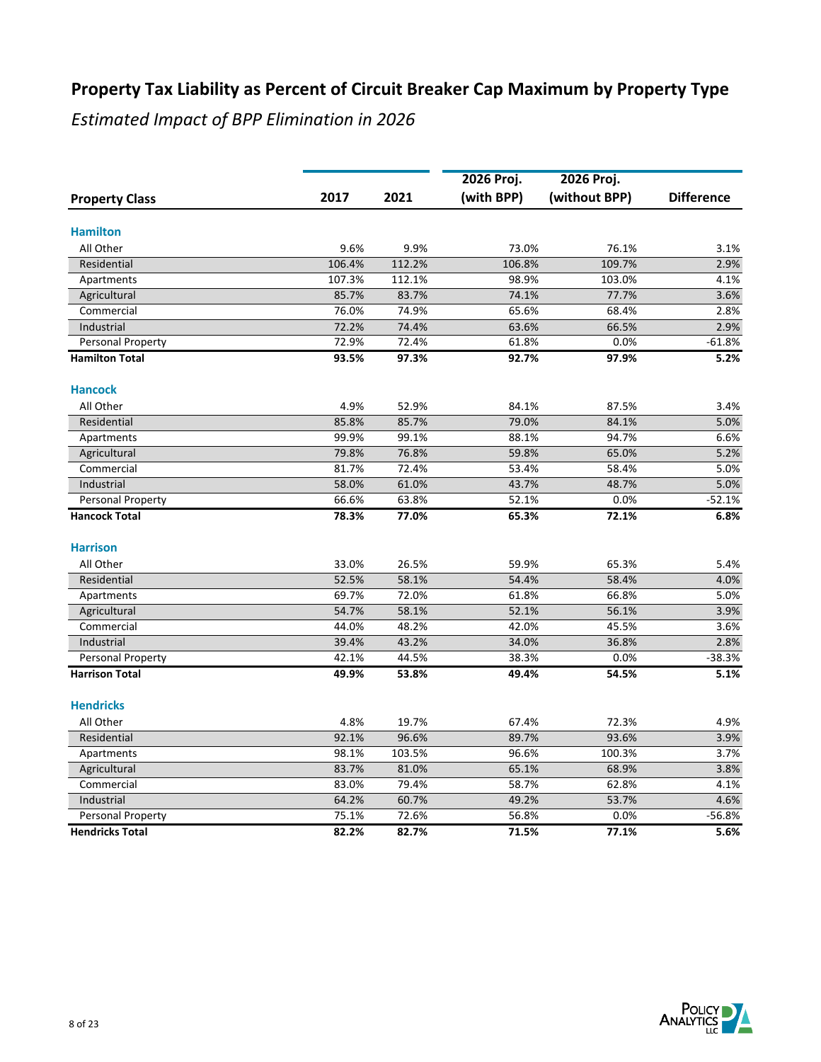|                            |        |        | 2026 Proj. | 2026 Proj.    |                   |
|----------------------------|--------|--------|------------|---------------|-------------------|
| <b>Property Class</b>      | 2017   | 2021   | (with BPP) | (without BPP) | <b>Difference</b> |
| <b>Hamilton</b>            |        |        |            |               |                   |
| All Other                  | 9.6%   | 9.9%   | 73.0%      | 76.1%         | 3.1%              |
| Residential                | 106.4% | 112.2% | 106.8%     | 109.7%        | 2.9%              |
| Apartments                 | 107.3% | 112.1% | 98.9%      | 103.0%        | 4.1%              |
|                            | 85.7%  | 83.7%  | 74.1%      | 77.7%         | 3.6%              |
| Agricultural<br>Commercial | 76.0%  | 74.9%  | 65.6%      | 68.4%         | 2.8%              |
| Industrial                 | 72.2%  | 74.4%  | 63.6%      | 66.5%         | 2.9%              |
| Personal Property          | 72.9%  | 72.4%  | 61.8%      | 0.0%          | $-61.8%$          |
| <b>Hamilton Total</b>      | 93.5%  | 97.3%  | 92.7%      | 97.9%         | 5.2%              |
| <b>Hancock</b>             |        |        |            |               |                   |
| All Other                  | 4.9%   | 52.9%  | 84.1%      | 87.5%         | 3.4%              |
| Residential                | 85.8%  | 85.7%  | 79.0%      | 84.1%         | 5.0%              |
| Apartments                 | 99.9%  | 99.1%  | 88.1%      | 94.7%         | 6.6%              |
| Agricultural               | 79.8%  | 76.8%  | 59.8%      | 65.0%         | 5.2%              |
| Commercial                 | 81.7%  | 72.4%  | 53.4%      | 58.4%         | 5.0%              |
| Industrial                 | 58.0%  | 61.0%  | 43.7%      | 48.7%         | 5.0%              |
| Personal Property          | 66.6%  | 63.8%  | 52.1%      | 0.0%          | $-52.1%$          |
| <b>Hancock Total</b>       | 78.3%  | 77.0%  | 65.3%      | 72.1%         | 6.8%              |
| <b>Harrison</b>            |        |        |            |               |                   |
| All Other                  | 33.0%  | 26.5%  | 59.9%      | 65.3%         | 5.4%              |
| Residential                | 52.5%  | 58.1%  | 54.4%      | 58.4%         | 4.0%              |
| Apartments                 | 69.7%  | 72.0%  | 61.8%      | 66.8%         | 5.0%              |
| Agricultural               | 54.7%  | 58.1%  | 52.1%      | 56.1%         | 3.9%              |
| Commercial                 | 44.0%  | 48.2%  | 42.0%      | 45.5%         | 3.6%              |
| Industrial                 | 39.4%  | 43.2%  | 34.0%      | 36.8%         | 2.8%              |
| Personal Property          | 42.1%  | 44.5%  | 38.3%      | 0.0%          | $-38.3%$          |
| <b>Harrison Total</b>      | 49.9%  | 53.8%  | 49.4%      | 54.5%         | 5.1%              |
| <b>Hendricks</b>           |        |        |            |               |                   |
| All Other                  | 4.8%   | 19.7%  | 67.4%      | 72.3%         | 4.9%              |
| Residential                | 92.1%  | 96.6%  | 89.7%      | 93.6%         | 3.9%              |
| Apartments                 | 98.1%  | 103.5% | 96.6%      | 100.3%        | 3.7%              |
| Agricultural               | 83.7%  | 81.0%  | 65.1%      | 68.9%         | 3.8%              |
| Commercial                 | 83.0%  | 79.4%  | 58.7%      | 62.8%         | 4.1%              |
| Industrial                 | 64.2%  | 60.7%  | 49.2%      | 53.7%         | 4.6%              |
| Personal Property          | 75.1%  | 72.6%  | 56.8%      | 0.0%          | $-56.8%$          |
| <b>Hendricks Total</b>     | 82.2%  | 82.7%  | 71.5%      | 77.1%         | 5.6%              |

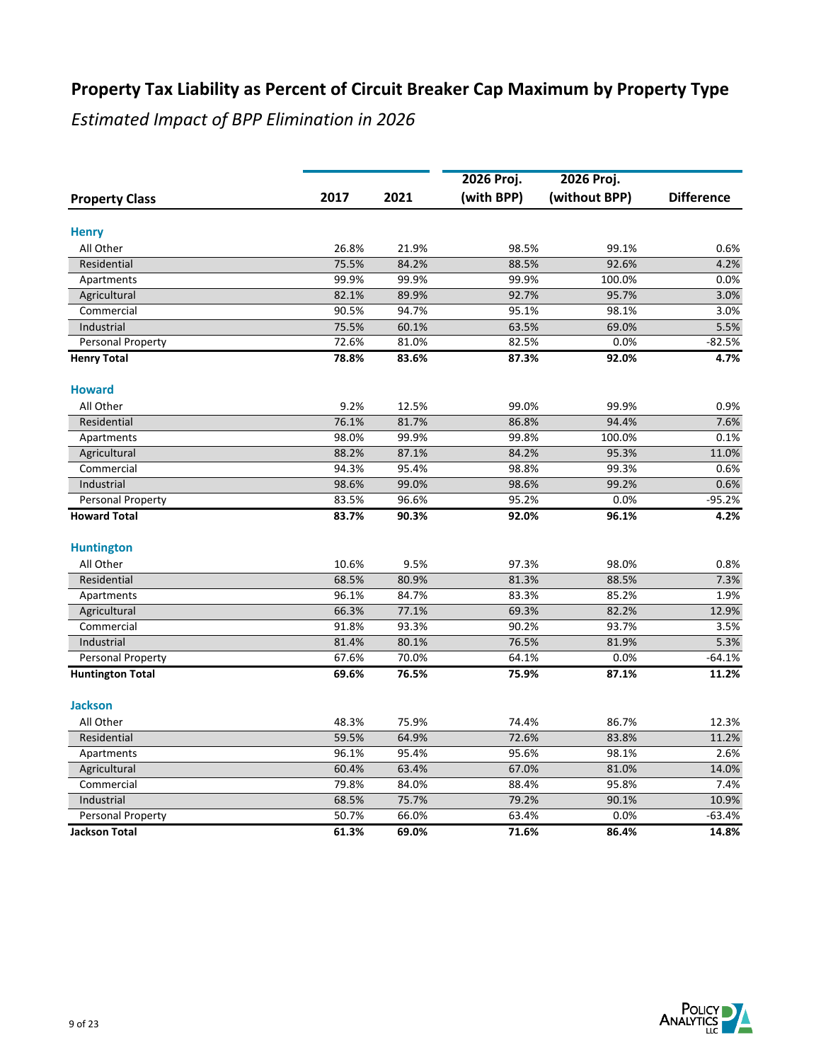|                          |       |       | 2026 Proj. | 2026 Proj.    |                   |
|--------------------------|-------|-------|------------|---------------|-------------------|
| <b>Property Class</b>    | 2017  | 2021  | (with BPP) | (without BPP) | <b>Difference</b> |
| <b>Henry</b>             |       |       |            |               |                   |
| All Other                | 26.8% | 21.9% | 98.5%      | 99.1%         | 0.6%              |
| Residential              | 75.5% | 84.2% | 88.5%      | 92.6%         | 4.2%              |
| Apartments               | 99.9% | 99.9% | 99.9%      | 100.0%        | 0.0%              |
| Agricultural             | 82.1% | 89.9% | 92.7%      | 95.7%         | 3.0%              |
| Commercial               | 90.5% | 94.7% | 95.1%      | 98.1%         | 3.0%              |
| Industrial               | 75.5% | 60.1% | 63.5%      | 69.0%         | 5.5%              |
| Personal Property        | 72.6% | 81.0% | 82.5%      | 0.0%          | $-82.5%$          |
| <b>Henry Total</b>       | 78.8% | 83.6% | 87.3%      | 92.0%         | 4.7%              |
| <b>Howard</b>            |       |       |            |               |                   |
| All Other                | 9.2%  | 12.5% | 99.0%      | 99.9%         | 0.9%              |
| Residential              | 76.1% | 81.7% | 86.8%      | 94.4%         | 7.6%              |
| Apartments               | 98.0% | 99.9% | 99.8%      | 100.0%        | 0.1%              |
| Agricultural             | 88.2% | 87.1% | 84.2%      | 95.3%         | 11.0%             |
| Commercial               | 94.3% | 95.4% | 98.8%      | 99.3%         | 0.6%              |
| Industrial               | 98.6% | 99.0% | 98.6%      | 99.2%         | 0.6%              |
| Personal Property        | 83.5% | 96.6% | 95.2%      | 0.0%          | $-95.2%$          |
| <b>Howard Total</b>      | 83.7% | 90.3% | 92.0%      | 96.1%         | 4.2%              |
| <b>Huntington</b>        |       |       |            |               |                   |
| All Other                | 10.6% | 9.5%  | 97.3%      | 98.0%         | 0.8%              |
| Residential              | 68.5% | 80.9% | 81.3%      | 88.5%         | 7.3%              |
| Apartments               | 96.1% | 84.7% | 83.3%      | 85.2%         | 1.9%              |
| Agricultural             | 66.3% | 77.1% | 69.3%      | 82.2%         | 12.9%             |
| Commercial               | 91.8% | 93.3% | 90.2%      | 93.7%         | 3.5%              |
| Industrial               | 81.4% | 80.1% | 76.5%      | 81.9%         | 5.3%              |
| Personal Property        | 67.6% | 70.0% | 64.1%      | 0.0%          | $-64.1%$          |
| <b>Huntington Total</b>  | 69.6% | 76.5% | 75.9%      | 87.1%         | 11.2%             |
| <b>Jackson</b>           |       |       |            |               |                   |
| All Other                | 48.3% | 75.9% | 74.4%      | 86.7%         | 12.3%             |
| Residential              | 59.5% | 64.9% | 72.6%      | 83.8%         | 11.2%             |
| Apartments               | 96.1% | 95.4% | 95.6%      | 98.1%         | 2.6%              |
| Agricultural             | 60.4% | 63.4% | 67.0%      | 81.0%         | 14.0%             |
| Commercial               | 79.8% | 84.0% | 88.4%      | 95.8%         | 7.4%              |
| Industrial               | 68.5% | 75.7% | 79.2%      | 90.1%         | 10.9%             |
| <b>Personal Property</b> | 50.7% | 66.0% | 63.4%      | 0.0%          | $-63.4%$          |
| <b>Jackson Total</b>     | 61.3% | 69.0% | 71.6%      | 86.4%         | 14.8%             |

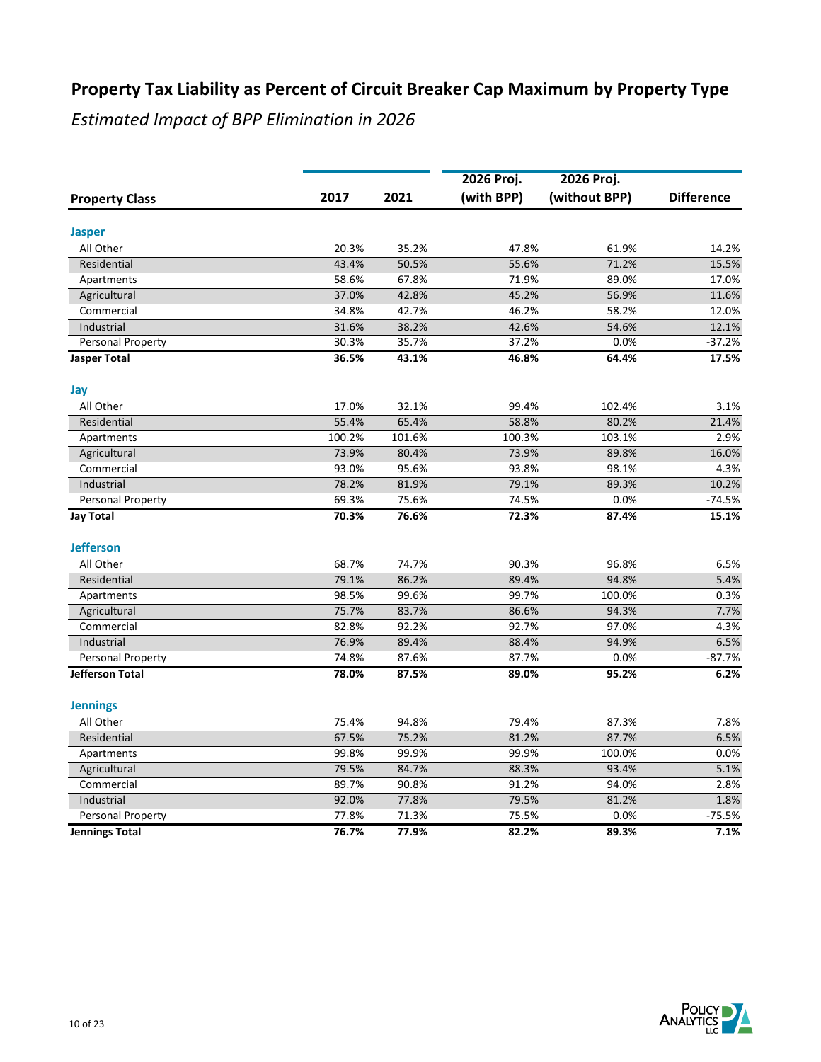|                            |        |        | 2026 Proj. | 2026 Proj.    |                   |
|----------------------------|--------|--------|------------|---------------|-------------------|
| <b>Property Class</b>      | 2017   | 2021   | (with BPP) | (without BPP) | <b>Difference</b> |
|                            |        |        |            |               |                   |
| <b>Jasper</b><br>All Other | 20.3%  | 35.2%  | 47.8%      | 61.9%         | 14.2%             |
| Residential                | 43.4%  | 50.5%  | 55.6%      | 71.2%         | 15.5%             |
|                            | 58.6%  | 67.8%  | 71.9%      | 89.0%         | 17.0%             |
| Apartments<br>Agricultural | 37.0%  | 42.8%  | 45.2%      | 56.9%         | 11.6%             |
| Commercial                 | 34.8%  | 42.7%  | 46.2%      | 58.2%         | 12.0%             |
| Industrial                 | 31.6%  | 38.2%  | 42.6%      | 54.6%         | 12.1%             |
| <b>Personal Property</b>   | 30.3%  | 35.7%  | 37.2%      | 0.0%          | $-37.2%$          |
| <b>Jasper Total</b>        | 36.5%  | 43.1%  | 46.8%      | 64.4%         | 17.5%             |
|                            |        |        |            |               |                   |
| Jay                        |        |        |            |               |                   |
| All Other                  | 17.0%  | 32.1%  | 99.4%      | 102.4%        | 3.1%              |
| Residential                | 55.4%  | 65.4%  | 58.8%      | 80.2%         | 21.4%             |
| Apartments                 | 100.2% | 101.6% | 100.3%     | 103.1%        | 2.9%              |
| Agricultural               | 73.9%  | 80.4%  | 73.9%      | 89.8%         | 16.0%             |
| Commercial                 | 93.0%  | 95.6%  | 93.8%      | 98.1%         | 4.3%              |
| Industrial                 | 78.2%  | 81.9%  | 79.1%      | 89.3%         | 10.2%             |
| Personal Property          | 69.3%  | 75.6%  | 74.5%      | 0.0%          | $-74.5%$          |
| <b>Jay Total</b>           | 70.3%  | 76.6%  | 72.3%      | 87.4%         | 15.1%             |
| <b>Jefferson</b>           |        |        |            |               |                   |
| All Other                  | 68.7%  | 74.7%  | 90.3%      | 96.8%         | 6.5%              |
| Residential                | 79.1%  | 86.2%  | 89.4%      | 94.8%         | 5.4%              |
| Apartments                 | 98.5%  | 99.6%  | 99.7%      | 100.0%        | 0.3%              |
| Agricultural               | 75.7%  | 83.7%  | 86.6%      | 94.3%         | 7.7%              |
| Commercial                 | 82.8%  | 92.2%  | 92.7%      | 97.0%         | 4.3%              |
| Industrial                 | 76.9%  | 89.4%  | 88.4%      | 94.9%         | 6.5%              |
| Personal Property          | 74.8%  | 87.6%  | 87.7%      | 0.0%          | $-87.7%$          |
| <b>Jefferson Total</b>     | 78.0%  | 87.5%  | 89.0%      | 95.2%         | 6.2%              |
| <b>Jennings</b>            |        |        |            |               |                   |
| All Other                  | 75.4%  | 94.8%  | 79.4%      | 87.3%         | 7.8%              |
| Residential                | 67.5%  | 75.2%  | 81.2%      | 87.7%         | 6.5%              |
| Apartments                 | 99.8%  | 99.9%  | 99.9%      | 100.0%        | 0.0%              |
| Agricultural               | 79.5%  | 84.7%  | 88.3%      | 93.4%         | 5.1%              |
| Commercial                 | 89.7%  | 90.8%  | 91.2%      | 94.0%         | 2.8%              |
| Industrial                 | 92.0%  | 77.8%  | 79.5%      | 81.2%         | 1.8%              |
| Personal Property          | 77.8%  | 71.3%  | 75.5%      | 0.0%          | $-75.5%$          |
| <b>Jennings Total</b>      | 76.7%  | 77.9%  | 82.2%      | 89.3%         | 7.1%              |

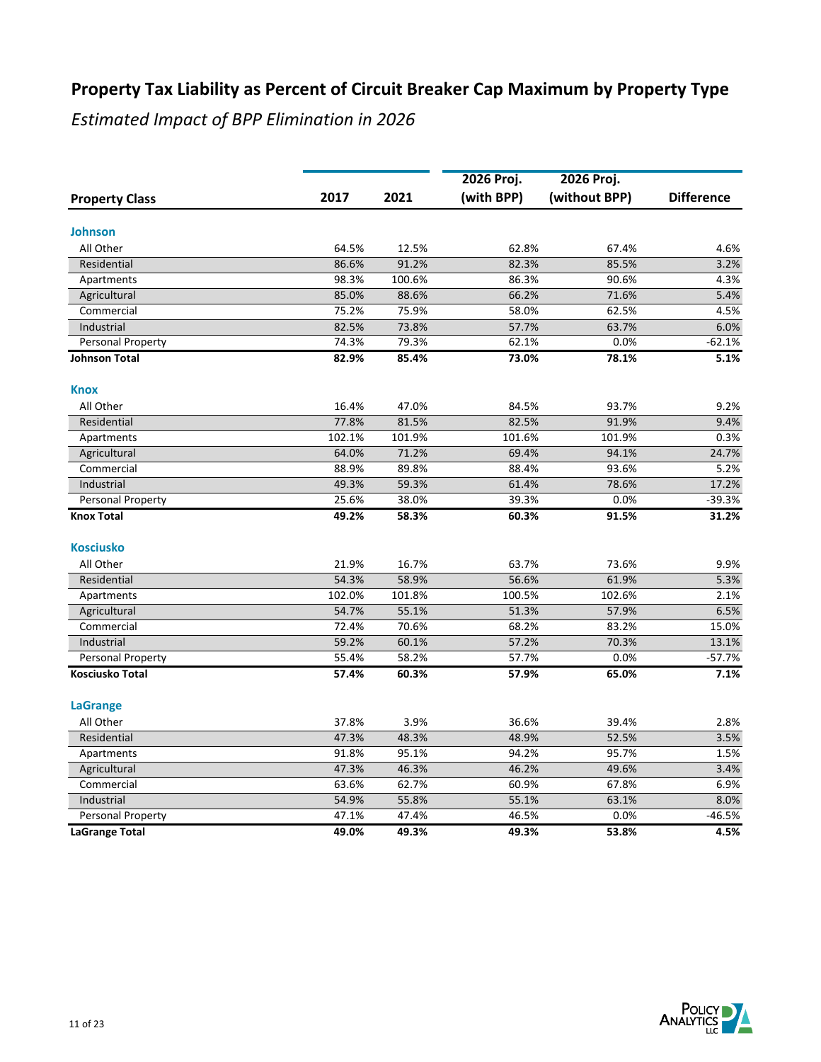|                        |        |        | 2026 Proj. | 2026 Proj.    |                   |
|------------------------|--------|--------|------------|---------------|-------------------|
| <b>Property Class</b>  | 2017   | 2021   | (with BPP) | (without BPP) | <b>Difference</b> |
| <b>Johnson</b>         |        |        |            |               |                   |
| All Other              | 64.5%  | 12.5%  | 62.8%      | 67.4%         | 4.6%              |
| Residential            | 86.6%  | 91.2%  | 82.3%      | 85.5%         | 3.2%              |
| Apartments             | 98.3%  | 100.6% | 86.3%      | 90.6%         | 4.3%              |
| Agricultural           | 85.0%  | 88.6%  | 66.2%      | 71.6%         | 5.4%              |
| Commercial             | 75.2%  | 75.9%  | 58.0%      | 62.5%         | 4.5%              |
| Industrial             | 82.5%  | 73.8%  | 57.7%      | 63.7%         | 6.0%              |
| Personal Property      | 74.3%  | 79.3%  | 62.1%      | 0.0%          | $-62.1%$          |
| <b>Johnson Total</b>   | 82.9%  | 85.4%  | 73.0%      | 78.1%         | 5.1%              |
| <b>Knox</b>            |        |        |            |               |                   |
| All Other              | 16.4%  | 47.0%  | 84.5%      | 93.7%         | 9.2%              |
| Residential            | 77.8%  | 81.5%  | 82.5%      | 91.9%         | 9.4%              |
| Apartments             | 102.1% | 101.9% | 101.6%     | 101.9%        | 0.3%              |
| Agricultural           | 64.0%  | 71.2%  | 69.4%      | 94.1%         | 24.7%             |
| Commercial             | 88.9%  | 89.8%  | 88.4%      | 93.6%         | 5.2%              |
| Industrial             | 49.3%  | 59.3%  | 61.4%      | 78.6%         | 17.2%             |
| Personal Property      | 25.6%  | 38.0%  | 39.3%      | 0.0%          | $-39.3%$          |
| <b>Knox Total</b>      | 49.2%  | 58.3%  | 60.3%      | 91.5%         | 31.2%             |
| <b>Kosciusko</b>       |        |        |            |               |                   |
| All Other              | 21.9%  | 16.7%  | 63.7%      | 73.6%         | 9.9%              |
| Residential            | 54.3%  | 58.9%  | 56.6%      | 61.9%         | 5.3%              |
| Apartments             | 102.0% | 101.8% | 100.5%     | 102.6%        | 2.1%              |
| Agricultural           | 54.7%  | 55.1%  | 51.3%      | 57.9%         | 6.5%              |
| Commercial             | 72.4%  | 70.6%  | 68.2%      | 83.2%         | 15.0%             |
| Industrial             | 59.2%  | 60.1%  | 57.2%      | 70.3%         | 13.1%             |
| Personal Property      | 55.4%  | 58.2%  | 57.7%      | 0.0%          | $-57.7%$          |
| <b>Kosciusko Total</b> | 57.4%  | 60.3%  | 57.9%      | 65.0%         | 7.1%              |
| <b>LaGrange</b>        |        |        |            |               |                   |
| All Other              | 37.8%  | 3.9%   | 36.6%      | 39.4%         | 2.8%              |
| Residential            | 47.3%  | 48.3%  | 48.9%      | 52.5%         | 3.5%              |
| Apartments             | 91.8%  | 95.1%  | 94.2%      | 95.7%         | 1.5%              |
| Agricultural           | 47.3%  | 46.3%  | 46.2%      | 49.6%         | 3.4%              |
| Commercial             | 63.6%  | 62.7%  | 60.9%      | 67.8%         | 6.9%              |
| Industrial             | 54.9%  | 55.8%  | 55.1%      | 63.1%         | 8.0%              |
| Personal Property      | 47.1%  | 47.4%  | 46.5%      | 0.0%          | $-46.5%$          |
| <b>LaGrange Total</b>  | 49.0%  | 49.3%  | 49.3%      | 53.8%         | 4.5%              |

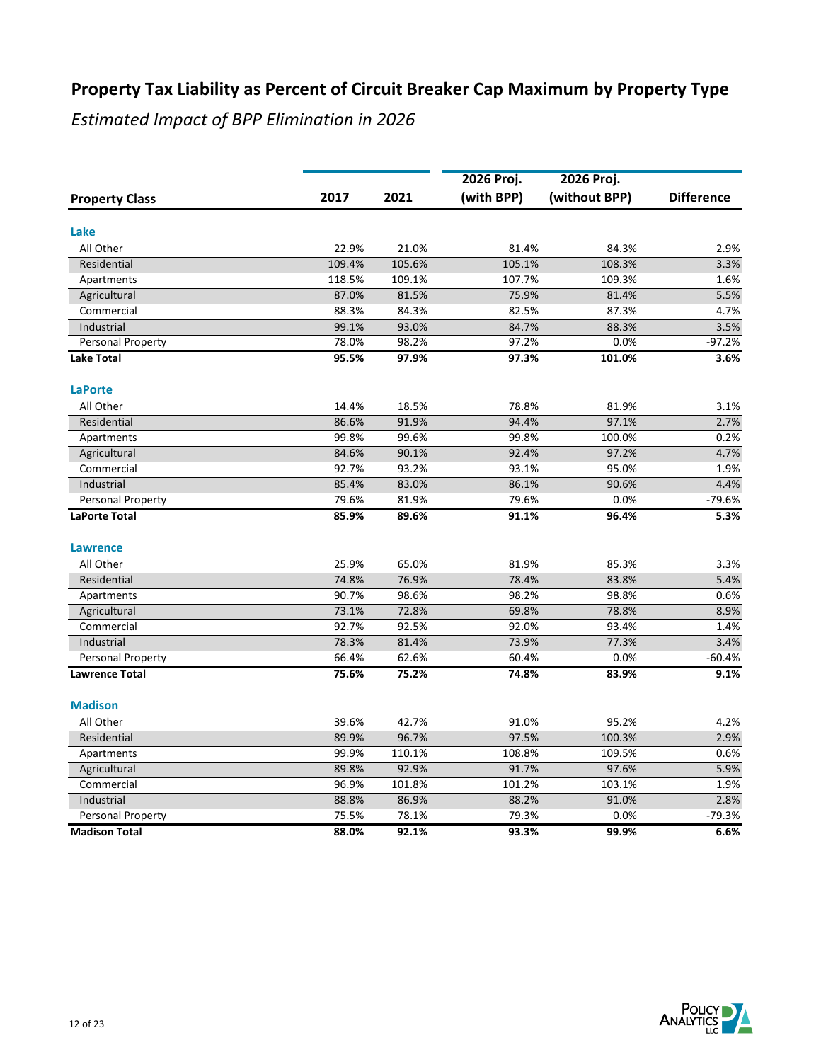|                          |        |        | 2026 Proj. | 2026 Proj.    |                   |
|--------------------------|--------|--------|------------|---------------|-------------------|
| <b>Property Class</b>    | 2017   | 2021   | (with BPP) | (without BPP) | <b>Difference</b> |
| Lake                     |        |        |            |               |                   |
| All Other                | 22.9%  | 21.0%  | 81.4%      | 84.3%         | 2.9%              |
| Residential              | 109.4% | 105.6% | 105.1%     | 108.3%        | 3.3%              |
| Apartments               | 118.5% | 109.1% | 107.7%     | 109.3%        | 1.6%              |
| Agricultural             | 87.0%  | 81.5%  | 75.9%      | 81.4%         | 5.5%              |
| Commercial               | 88.3%  | 84.3%  | 82.5%      | 87.3%         | 4.7%              |
| Industrial               | 99.1%  | 93.0%  | 84.7%      | 88.3%         | 3.5%              |
| Personal Property        | 78.0%  | 98.2%  | 97.2%      | 0.0%          | $-97.2%$          |
| <b>Lake Total</b>        | 95.5%  | 97.9%  | 97.3%      | 101.0%        | 3.6%              |
| <b>LaPorte</b>           |        |        |            |               |                   |
| All Other                | 14.4%  | 18.5%  | 78.8%      | 81.9%         | 3.1%              |
| Residential              | 86.6%  | 91.9%  | 94.4%      | 97.1%         | 2.7%              |
| Apartments               | 99.8%  | 99.6%  | 99.8%      | 100.0%        | 0.2%              |
| Agricultural             | 84.6%  | 90.1%  | 92.4%      | 97.2%         | 4.7%              |
| Commercial               | 92.7%  | 93.2%  | 93.1%      | 95.0%         | 1.9%              |
| Industrial               | 85.4%  | 83.0%  | 86.1%      | 90.6%         | 4.4%              |
| <b>Personal Property</b> | 79.6%  | 81.9%  | 79.6%      | 0.0%          | $-79.6%$          |
| <b>LaPorte Total</b>     | 85.9%  | 89.6%  | 91.1%      | 96.4%         | 5.3%              |
| <b>Lawrence</b>          |        |        |            |               |                   |
| All Other                | 25.9%  | 65.0%  | 81.9%      | 85.3%         | 3.3%              |
| Residential              | 74.8%  | 76.9%  | 78.4%      | 83.8%         | 5.4%              |
| Apartments               | 90.7%  | 98.6%  | 98.2%      | 98.8%         | 0.6%              |
| Agricultural             | 73.1%  | 72.8%  | 69.8%      | 78.8%         | 8.9%              |
| Commercial               | 92.7%  | 92.5%  | 92.0%      | 93.4%         | 1.4%              |
| Industrial               | 78.3%  | 81.4%  | 73.9%      | 77.3%         | 3.4%              |
| <b>Personal Property</b> | 66.4%  | 62.6%  | 60.4%      | 0.0%          | $-60.4%$          |
| <b>Lawrence Total</b>    | 75.6%  | 75.2%  | 74.8%      | 83.9%         | 9.1%              |
| <b>Madison</b>           |        |        |            |               |                   |
| All Other                | 39.6%  | 42.7%  | 91.0%      | 95.2%         | 4.2%              |
| Residential              | 89.9%  | 96.7%  | 97.5%      | 100.3%        | 2.9%              |
| Apartments               | 99.9%  | 110.1% | 108.8%     | 109.5%        | 0.6%              |
| Agricultural             | 89.8%  | 92.9%  | 91.7%      | 97.6%         | 5.9%              |
| Commercial               | 96.9%  | 101.8% | 101.2%     | 103.1%        | 1.9%              |
| Industrial               | 88.8%  | 86.9%  | 88.2%      | 91.0%         | 2.8%              |
| Personal Property        | 75.5%  | 78.1%  | 79.3%      | 0.0%          | $-79.3%$          |
| <b>Madison Total</b>     | 88.0%  | 92.1%  | 93.3%      | 99.9%         | 6.6%              |

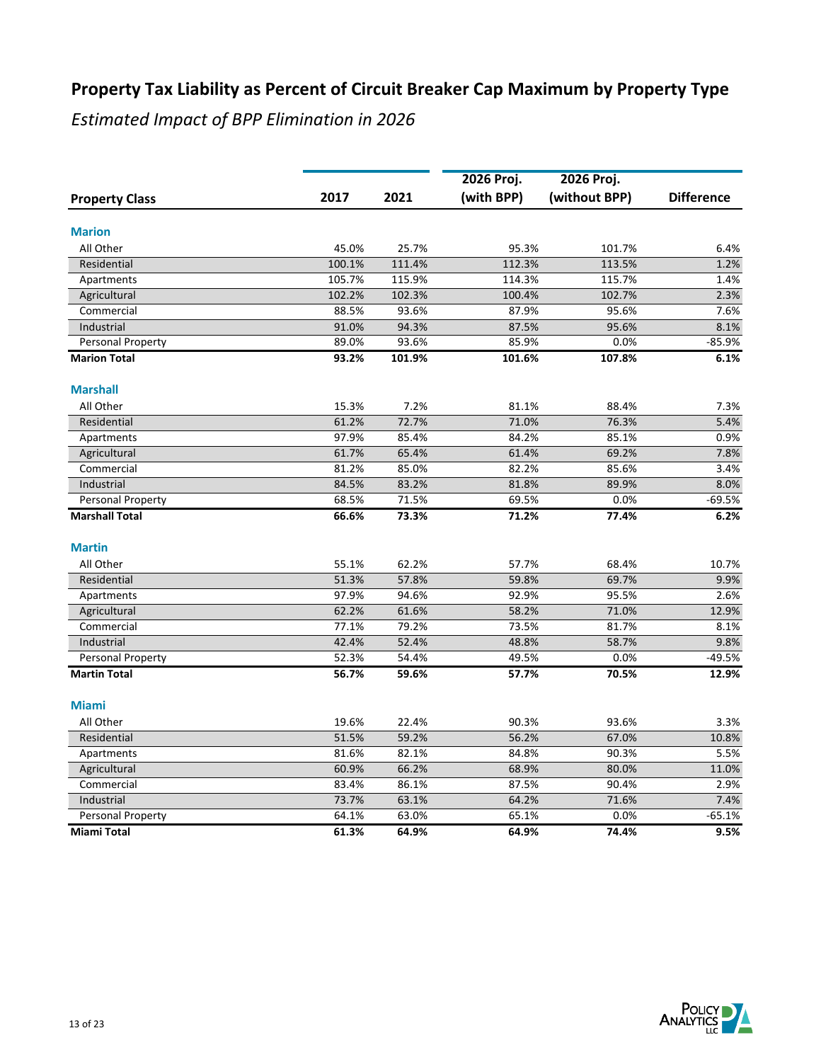|                          |        |        | 2026 Proj. | 2026 Proj.    |                   |
|--------------------------|--------|--------|------------|---------------|-------------------|
| <b>Property Class</b>    | 2017   | 2021   | (with BPP) | (without BPP) | <b>Difference</b> |
| <b>Marion</b>            |        |        |            |               |                   |
| All Other                | 45.0%  | 25.7%  | 95.3%      | 101.7%        | 6.4%              |
| Residential              | 100.1% | 111.4% | 112.3%     | 113.5%        | 1.2%              |
| Apartments               | 105.7% | 115.9% | 114.3%     | 115.7%        | 1.4%              |
| Agricultural             | 102.2% | 102.3% | 100.4%     | 102.7%        | 2.3%              |
| Commercial               | 88.5%  | 93.6%  | 87.9%      | 95.6%         | 7.6%              |
| Industrial               | 91.0%  | 94.3%  | 87.5%      | 95.6%         | 8.1%              |
| Personal Property        | 89.0%  | 93.6%  | 85.9%      | 0.0%          | $-85.9%$          |
| <b>Marion Total</b>      | 93.2%  | 101.9% | 101.6%     | 107.8%        | 6.1%              |
| <b>Marshall</b>          |        |        |            |               |                   |
| All Other                | 15.3%  | 7.2%   | 81.1%      | 88.4%         | 7.3%              |
| Residential              | 61.2%  | 72.7%  | 71.0%      | 76.3%         | 5.4%              |
| Apartments               | 97.9%  | 85.4%  | 84.2%      | 85.1%         | 0.9%              |
| Agricultural             | 61.7%  | 65.4%  | 61.4%      | 69.2%         | 7.8%              |
| Commercial               | 81.2%  | 85.0%  | 82.2%      | 85.6%         | 3.4%              |
| Industrial               | 84.5%  | 83.2%  | 81.8%      | 89.9%         | 8.0%              |
| Personal Property        | 68.5%  | 71.5%  | 69.5%      | 0.0%          | $-69.5%$          |
| <b>Marshall Total</b>    | 66.6%  | 73.3%  | 71.2%      | 77.4%         | 6.2%              |
| <b>Martin</b>            |        |        |            |               |                   |
| All Other                | 55.1%  | 62.2%  | 57.7%      | 68.4%         | 10.7%             |
| Residential              | 51.3%  | 57.8%  | 59.8%      | 69.7%         | 9.9%              |
| Apartments               | 97.9%  | 94.6%  | 92.9%      | 95.5%         | 2.6%              |
| Agricultural             | 62.2%  | 61.6%  | 58.2%      | 71.0%         | 12.9%             |
| Commercial               | 77.1%  | 79.2%  | 73.5%      | 81.7%         | 8.1%              |
| Industrial               | 42.4%  | 52.4%  | 48.8%      | 58.7%         | 9.8%              |
| <b>Personal Property</b> | 52.3%  | 54.4%  | 49.5%      | 0.0%          | $-49.5%$          |
| <b>Martin Total</b>      | 56.7%  | 59.6%  | 57.7%      | 70.5%         | 12.9%             |
| <b>Miami</b>             |        |        |            |               |                   |
| All Other                | 19.6%  | 22.4%  | 90.3%      | 93.6%         | 3.3%              |
| Residential              | 51.5%  | 59.2%  | 56.2%      | 67.0%         | 10.8%             |
| Apartments               | 81.6%  | 82.1%  | 84.8%      | 90.3%         | 5.5%              |
| Agricultural             | 60.9%  | 66.2%  | 68.9%      | 80.0%         | 11.0%             |
| Commercial               | 83.4%  | 86.1%  | 87.5%      | 90.4%         | 2.9%              |
| Industrial               | 73.7%  | 63.1%  | 64.2%      | 71.6%         | 7.4%              |
| Personal Property        | 64.1%  | 63.0%  | 65.1%      | 0.0%          | $-65.1%$          |
| <b>Miami Total</b>       | 61.3%  | 64.9%  | 64.9%      | 74.4%         | 9.5%              |

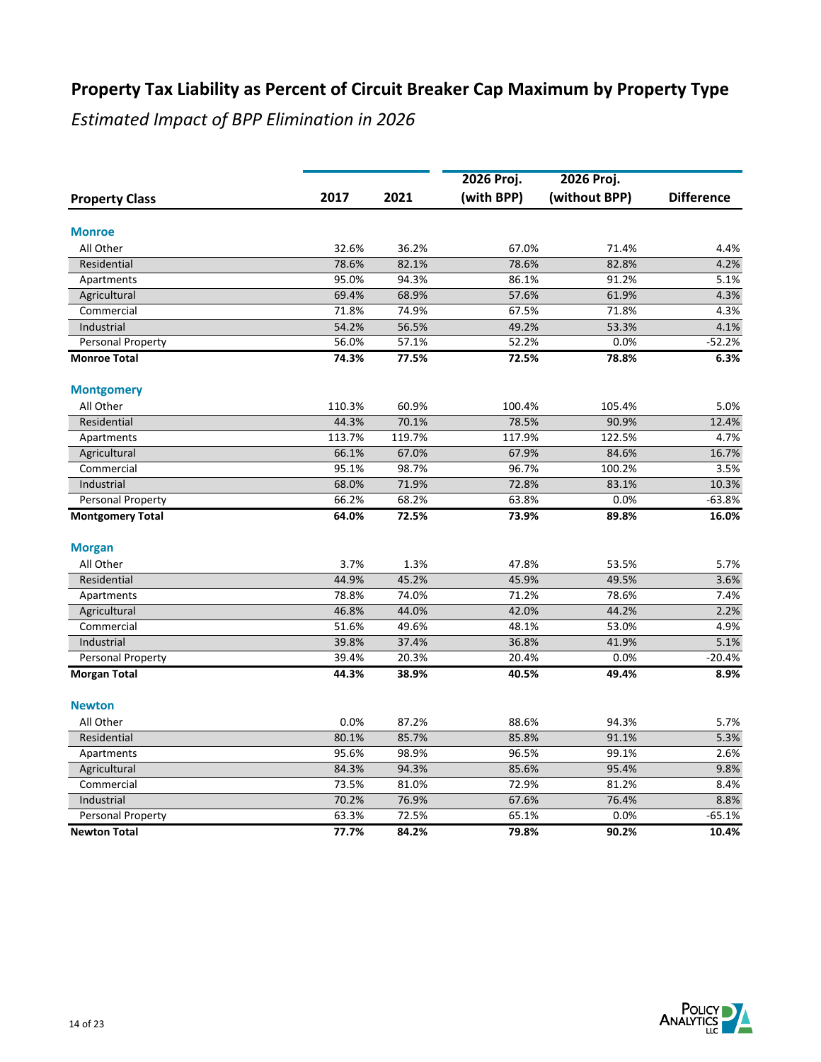|                         |        |        | 2026 Proj. |                             |                   |
|-------------------------|--------|--------|------------|-----------------------------|-------------------|
| <b>Property Class</b>   | 2017   | 2021   | (with BPP) | 2026 Proj.<br>(without BPP) | <b>Difference</b> |
| <b>Monroe</b>           |        |        |            |                             |                   |
| All Other               | 32.6%  | 36.2%  | 67.0%      | 71.4%                       | 4.4%              |
| Residential             | 78.6%  | 82.1%  | 78.6%      | 82.8%                       | 4.2%              |
| Apartments              | 95.0%  | 94.3%  | 86.1%      | 91.2%                       | 5.1%              |
| Agricultural            | 69.4%  | 68.9%  | 57.6%      | 61.9%                       | 4.3%              |
| Commercial              | 71.8%  | 74.9%  | 67.5%      | 71.8%                       | 4.3%              |
| Industrial              | 54.2%  | 56.5%  | 49.2%      | 53.3%                       | 4.1%              |
| Personal Property       | 56.0%  | 57.1%  | 52.2%      | 0.0%                        | $-52.2%$          |
| <b>Monroe Total</b>     | 74.3%  | 77.5%  | 72.5%      | 78.8%                       | 6.3%              |
| <b>Montgomery</b>       |        |        |            |                             |                   |
| All Other               | 110.3% | 60.9%  | 100.4%     | 105.4%                      | 5.0%              |
| Residential             | 44.3%  | 70.1%  | 78.5%      | 90.9%                       | 12.4%             |
| Apartments              | 113.7% | 119.7% | 117.9%     | 122.5%                      | 4.7%              |
| Agricultural            | 66.1%  | 67.0%  | 67.9%      | 84.6%                       | 16.7%             |
| Commercial              | 95.1%  | 98.7%  | 96.7%      | 100.2%                      | 3.5%              |
| Industrial              | 68.0%  | 71.9%  | 72.8%      | 83.1%                       | 10.3%             |
| Personal Property       | 66.2%  | 68.2%  | 63.8%      | 0.0%                        | $-63.8%$          |
| <b>Montgomery Total</b> | 64.0%  | 72.5%  | 73.9%      | 89.8%                       | 16.0%             |
| <b>Morgan</b>           |        |        |            |                             |                   |
| All Other               | 3.7%   | 1.3%   | 47.8%      | 53.5%                       | 5.7%              |
| Residential             | 44.9%  | 45.2%  | 45.9%      | 49.5%                       | 3.6%              |
| Apartments              | 78.8%  | 74.0%  | 71.2%      | 78.6%                       | 7.4%              |
| Agricultural            | 46.8%  | 44.0%  | 42.0%      | 44.2%                       | 2.2%              |
| Commercial              | 51.6%  | 49.6%  | 48.1%      | 53.0%                       | 4.9%              |
| Industrial              | 39.8%  | 37.4%  | 36.8%      | 41.9%                       | 5.1%              |
| Personal Property       | 39.4%  | 20.3%  | 20.4%      | 0.0%                        | $-20.4%$          |
| <b>Morgan Total</b>     | 44.3%  | 38.9%  | 40.5%      | 49.4%                       | 8.9%              |
| <b>Newton</b>           |        |        |            |                             |                   |
| All Other               | 0.0%   | 87.2%  | 88.6%      | 94.3%                       | 5.7%              |
| Residential             | 80.1%  | 85.7%  | 85.8%      | 91.1%                       | 5.3%              |
| Apartments              | 95.6%  | 98.9%  | 96.5%      | 99.1%                       | 2.6%              |
| Agricultural            | 84.3%  | 94.3%  | 85.6%      | 95.4%                       | 9.8%              |
| Commercial              | 73.5%  | 81.0%  | 72.9%      | 81.2%                       | 8.4%              |
| Industrial              | 70.2%  | 76.9%  | 67.6%      | 76.4%                       | 8.8%              |
| Personal Property       | 63.3%  | 72.5%  | 65.1%      | 0.0%                        | $-65.1%$          |
| <b>Newton Total</b>     | 77.7%  | 84.2%  | 79.8%      | 90.2%                       | 10.4%             |

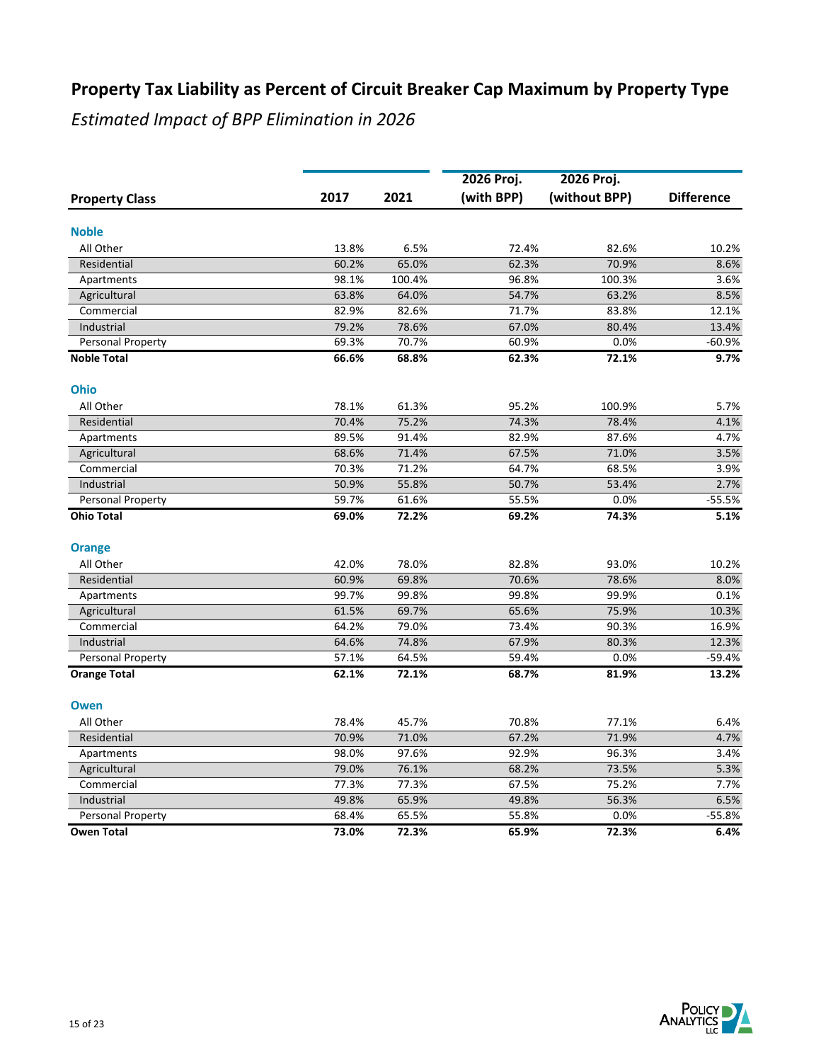|                       |       |        | 2026 Proj. | 2026 Proj.    |                   |
|-----------------------|-------|--------|------------|---------------|-------------------|
| <b>Property Class</b> | 2017  | 2021   | (with BPP) | (without BPP) | <b>Difference</b> |
| <b>Noble</b>          |       |        |            |               |                   |
| All Other             | 13.8% | 6.5%   | 72.4%      | 82.6%         | 10.2%             |
| Residential           | 60.2% | 65.0%  | 62.3%      | 70.9%         | 8.6%              |
| Apartments            | 98.1% | 100.4% | 96.8%      | 100.3%        | 3.6%              |
| Agricultural          | 63.8% | 64.0%  | 54.7%      | 63.2%         | 8.5%              |
| Commercial            | 82.9% | 82.6%  | 71.7%      | 83.8%         | 12.1%             |
| Industrial            | 79.2% | 78.6%  | 67.0%      | 80.4%         | 13.4%             |
| Personal Property     | 69.3% | 70.7%  | 60.9%      | 0.0%          | $-60.9%$          |
| <b>Noble Total</b>    | 66.6% | 68.8%  | 62.3%      | 72.1%         | 9.7%              |
| Ohio                  |       |        |            |               |                   |
| All Other             | 78.1% | 61.3%  | 95.2%      | 100.9%        | 5.7%              |
| Residential           | 70.4% | 75.2%  | 74.3%      | 78.4%         | 4.1%              |
| Apartments            | 89.5% | 91.4%  | 82.9%      | 87.6%         | 4.7%              |
| Agricultural          | 68.6% | 71.4%  | 67.5%      | 71.0%         | 3.5%              |
| Commercial            | 70.3% | 71.2%  | 64.7%      | 68.5%         | 3.9%              |
| Industrial            | 50.9% | 55.8%  | 50.7%      | 53.4%         | 2.7%              |
| Personal Property     | 59.7% | 61.6%  | 55.5%      | 0.0%          | $-55.5%$          |
| Ohio Total            | 69.0% | 72.2%  | 69.2%      | 74.3%         | 5.1%              |
| <b>Orange</b>         |       |        |            |               |                   |
| All Other             | 42.0% | 78.0%  | 82.8%      | 93.0%         | 10.2%             |
| Residential           | 60.9% | 69.8%  | 70.6%      | 78.6%         | 8.0%              |
| Apartments            | 99.7% | 99.8%  | 99.8%      | 99.9%         | 0.1%              |
| Agricultural          | 61.5% | 69.7%  | 65.6%      | 75.9%         | 10.3%             |
| Commercial            | 64.2% | 79.0%  | 73.4%      | 90.3%         | 16.9%             |
| Industrial            | 64.6% | 74.8%  | 67.9%      | 80.3%         | 12.3%             |
| Personal Property     | 57.1% | 64.5%  | 59.4%      | 0.0%          | $-59.4%$          |
| <b>Orange Total</b>   | 62.1% | 72.1%  | 68.7%      | 81.9%         | 13.2%             |
| <b>Owen</b>           |       |        |            |               |                   |
| All Other             | 78.4% | 45.7%  | 70.8%      | 77.1%         | 6.4%              |
| Residential           | 70.9% | 71.0%  | 67.2%      | 71.9%         | 4.7%              |
| Apartments            | 98.0% | 97.6%  | 92.9%      | 96.3%         | 3.4%              |
| Agricultural          | 79.0% | 76.1%  | 68.2%      | 73.5%         | 5.3%              |
| Commercial            | 77.3% | 77.3%  | 67.5%      | 75.2%         | 7.7%              |
| Industrial            | 49.8% | 65.9%  | 49.8%      | 56.3%         | 6.5%              |
| Personal Property     | 68.4% | 65.5%  | 55.8%      | 0.0%          | $-55.8%$          |
| <b>Owen Total</b>     | 73.0% | 72.3%  | 65.9%      | 72.3%         | 6.4%              |

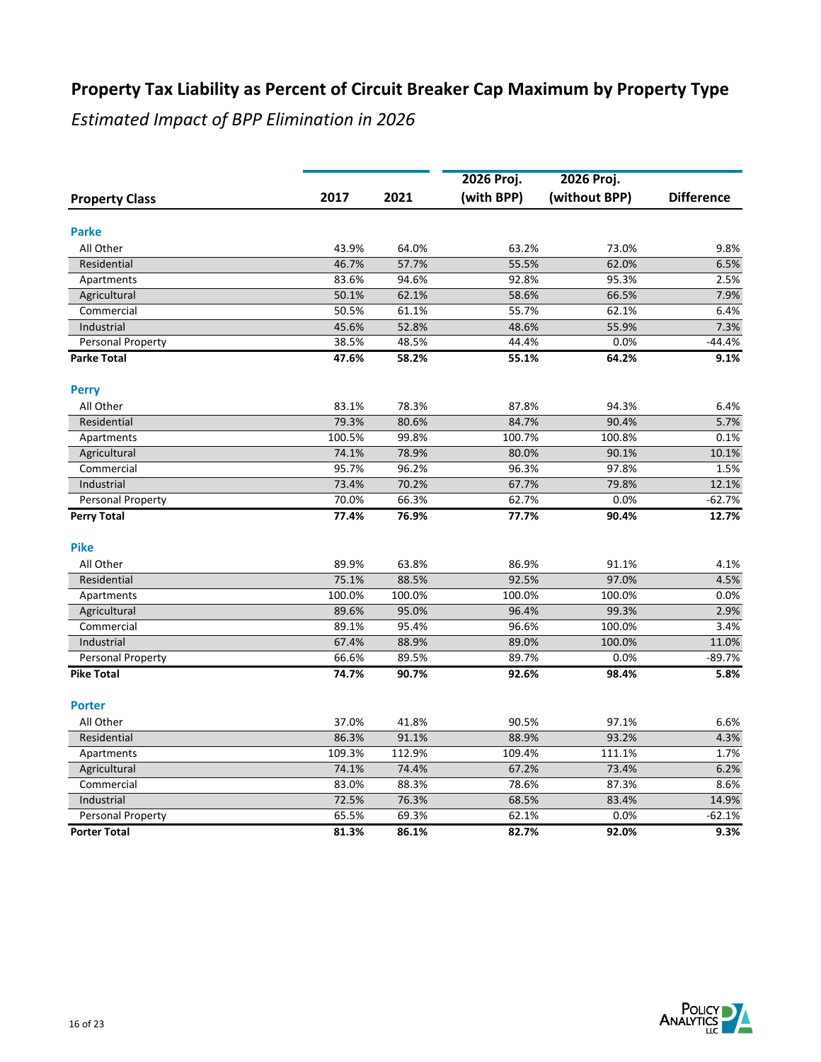|                       |        |        | 2026 Proj. |                             |                   |
|-----------------------|--------|--------|------------|-----------------------------|-------------------|
| <b>Property Class</b> | 2017   | 2021   | (with BPP) | 2026 Proj.<br>(without BPP) | <b>Difference</b> |
|                       |        |        |            |                             |                   |
| <b>Parke</b>          |        |        |            |                             |                   |
| All Other             | 43.9%  | 64.0%  | 63.2%      | 73.0%                       | 9.8%              |
| Residential           | 46.7%  | 57.7%  | 55.5%      | 62.0%                       | 6.5%              |
| Apartments            | 83.6%  | 94.6%  | 92.8%      | 95.3%                       | 2.5%              |
| Agricultural          | 50.1%  | 62.1%  | 58.6%      | 66.5%                       | 7.9%              |
| Commercial            | 50.5%  | 61.1%  | 55.7%      | 62.1%                       | 6.4%              |
| Industrial            | 45.6%  | 52.8%  | 48.6%      | 55.9%                       | 7.3%              |
| Personal Property     | 38.5%  | 48.5%  | 44.4%      | 0.0%                        | $-44.4%$          |
| <b>Parke Total</b>    | 47.6%  | 58.2%  | 55.1%      | 64.2%                       | 9.1%              |
| <b>Perry</b>          |        |        |            |                             |                   |
| All Other             | 83.1%  | 78.3%  | 87.8%      | 94.3%                       | 6.4%              |
| Residential           | 79.3%  | 80.6%  | 84.7%      | 90.4%                       | 5.7%              |
| Apartments            | 100.5% | 99.8%  | 100.7%     | 100.8%                      | 0.1%              |
| Agricultural          | 74.1%  | 78.9%  | 80.0%      | 90.1%                       | 10.1%             |
| Commercial            | 95.7%  | 96.2%  | 96.3%      | 97.8%                       | 1.5%              |
| Industrial            | 73.4%  | 70.2%  | 67.7%      | 79.8%                       | 12.1%             |
| Personal Property     | 70.0%  | 66.3%  | 62.7%      | 0.0%                        | $-62.7%$          |
| <b>Perry Total</b>    | 77.4%  | 76.9%  | 77.7%      | 90.4%                       | 12.7%             |
| <b>Pike</b>           |        |        |            |                             |                   |
| All Other             | 89.9%  | 63.8%  | 86.9%      | 91.1%                       | 4.1%              |
| Residential           | 75.1%  | 88.5%  | 92.5%      | 97.0%                       | 4.5%              |
| Apartments            | 100.0% | 100.0% | 100.0%     | 100.0%                      | 0.0%              |
| Agricultural          | 89.6%  | 95.0%  | 96.4%      | 99.3%                       | 2.9%              |
| Commercial            | 89.1%  | 95.4%  | 96.6%      | 100.0%                      | 3.4%              |
| Industrial            | 67.4%  | 88.9%  | 89.0%      | 100.0%                      | 11.0%             |
| Personal Property     | 66.6%  | 89.5%  | 89.7%      | 0.0%                        | $-89.7%$          |
| <b>Pike Total</b>     | 74.7%  | 90.7%  | 92.6%      | 98.4%                       | 5.8%              |
| <b>Porter</b>         |        |        |            |                             |                   |
| All Other             | 37.0%  | 41.8%  | 90.5%      | 97.1%                       | 6.6%              |
| Residential           | 86.3%  | 91.1%  | 88.9%      | 93.2%                       | 4.3%              |
| Apartments            | 109.3% | 112.9% | 109.4%     | 111.1%                      | 1.7%              |
| Agricultural          | 74.1%  | 74.4%  | 67.2%      | 73.4%                       | 6.2%              |
| Commercial            | 83.0%  | 88.3%  | 78.6%      | 87.3%                       | 8.6%              |
| Industrial            | 72.5%  | 76.3%  | 68.5%      | 83.4%                       | 14.9%             |
| Personal Property     | 65.5%  | 69.3%  | 62.1%      | 0.0%                        | $-62.1%$          |
| <b>Porter Total</b>   | 81.3%  | 86.1%  | 82.7%      | 92.0%                       | 9.3%              |

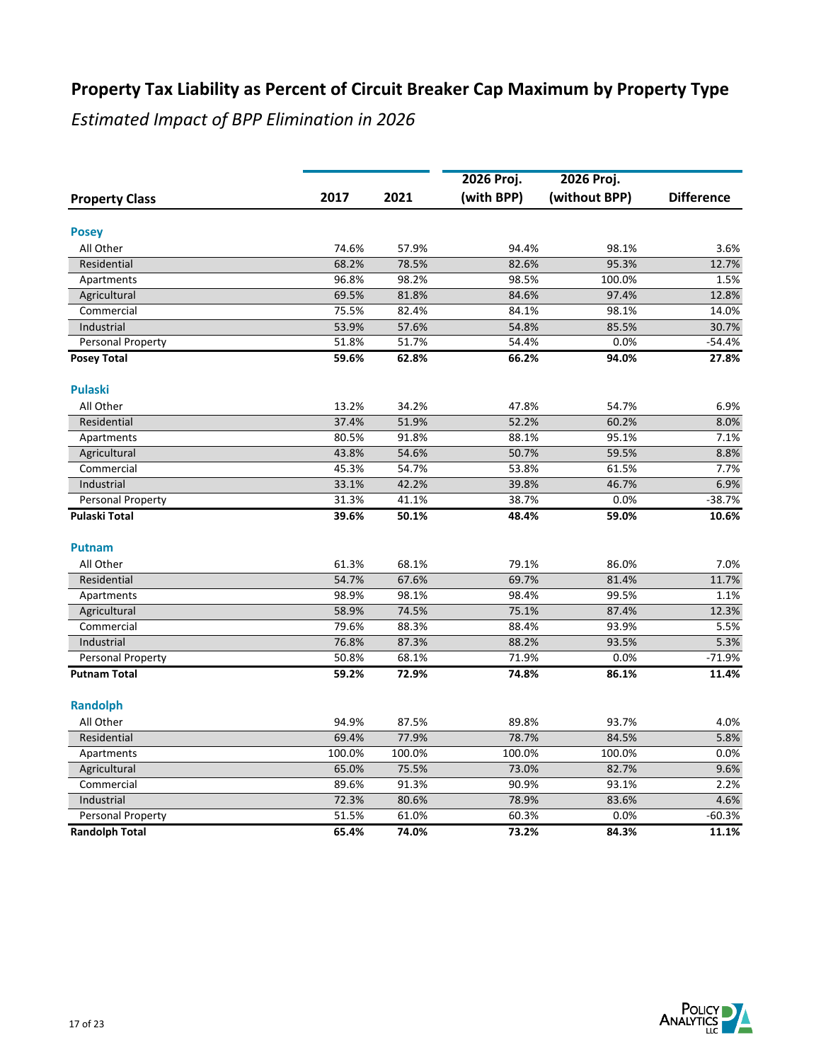|                       |        |        | 2026 Proj. | 2026 Proj.    |                   |
|-----------------------|--------|--------|------------|---------------|-------------------|
| <b>Property Class</b> | 2017   | 2021   | (with BPP) | (without BPP) | <b>Difference</b> |
| <b>Posey</b>          |        |        |            |               |                   |
| All Other             | 74.6%  | 57.9%  | 94.4%      | 98.1%         | 3.6%              |
| Residential           | 68.2%  | 78.5%  | 82.6%      | 95.3%         | 12.7%             |
| Apartments            | 96.8%  | 98.2%  | 98.5%      | 100.0%        | 1.5%              |
| Agricultural          | 69.5%  | 81.8%  | 84.6%      | 97.4%         | 12.8%             |
| Commercial            | 75.5%  | 82.4%  | 84.1%      | 98.1%         | 14.0%             |
| Industrial            | 53.9%  | 57.6%  | 54.8%      | 85.5%         | 30.7%             |
| Personal Property     | 51.8%  | 51.7%  | 54.4%      | 0.0%          | $-54.4%$          |
| <b>Posey Total</b>    | 59.6%  | 62.8%  | 66.2%      | 94.0%         | 27.8%             |
| <b>Pulaski</b>        |        |        |            |               |                   |
| All Other             | 13.2%  | 34.2%  | 47.8%      | 54.7%         | 6.9%              |
| Residential           | 37.4%  | 51.9%  | 52.2%      | 60.2%         | 8.0%              |
| Apartments            | 80.5%  | 91.8%  | 88.1%      | 95.1%         | 7.1%              |
| Agricultural          | 43.8%  | 54.6%  | 50.7%      | 59.5%         | 8.8%              |
| Commercial            | 45.3%  | 54.7%  | 53.8%      | 61.5%         | 7.7%              |
| Industrial            | 33.1%  | 42.2%  | 39.8%      | 46.7%         | 6.9%              |
| Personal Property     | 31.3%  | 41.1%  | 38.7%      | 0.0%          | $-38.7%$          |
| Pulaski Total         | 39.6%  | 50.1%  | 48.4%      | 59.0%         | 10.6%             |
| <b>Putnam</b>         |        |        |            |               |                   |
| All Other             | 61.3%  | 68.1%  | 79.1%      | 86.0%         | 7.0%              |
| Residential           | 54.7%  | 67.6%  | 69.7%      | 81.4%         | 11.7%             |
| Apartments            | 98.9%  | 98.1%  | 98.4%      | 99.5%         | 1.1%              |
| Agricultural          | 58.9%  | 74.5%  | 75.1%      | 87.4%         | 12.3%             |
| Commercial            | 79.6%  | 88.3%  | 88.4%      | 93.9%         | 5.5%              |
| Industrial            | 76.8%  | 87.3%  | 88.2%      | 93.5%         | 5.3%              |
| Personal Property     | 50.8%  | 68.1%  | 71.9%      | 0.0%          | $-71.9%$          |
| <b>Putnam Total</b>   | 59.2%  | 72.9%  | 74.8%      | 86.1%         | 11.4%             |
| <b>Randolph</b>       |        |        |            |               |                   |
| All Other             | 94.9%  | 87.5%  | 89.8%      | 93.7%         | 4.0%              |
| Residential           | 69.4%  | 77.9%  | 78.7%      | 84.5%         | 5.8%              |
| Apartments            | 100.0% | 100.0% | 100.0%     | 100.0%        | 0.0%              |
| Agricultural          | 65.0%  | 75.5%  | 73.0%      | 82.7%         | 9.6%              |
| Commercial            | 89.6%  | 91.3%  | 90.9%      | 93.1%         | 2.2%              |
| Industrial            | 72.3%  | 80.6%  | 78.9%      | 83.6%         | 4.6%              |
| Personal Property     | 51.5%  | 61.0%  | 60.3%      | 0.0%          | $-60.3%$          |
| <b>Randolph Total</b> | 65.4%  | 74.0%  | 73.2%      | 84.3%         | 11.1%             |

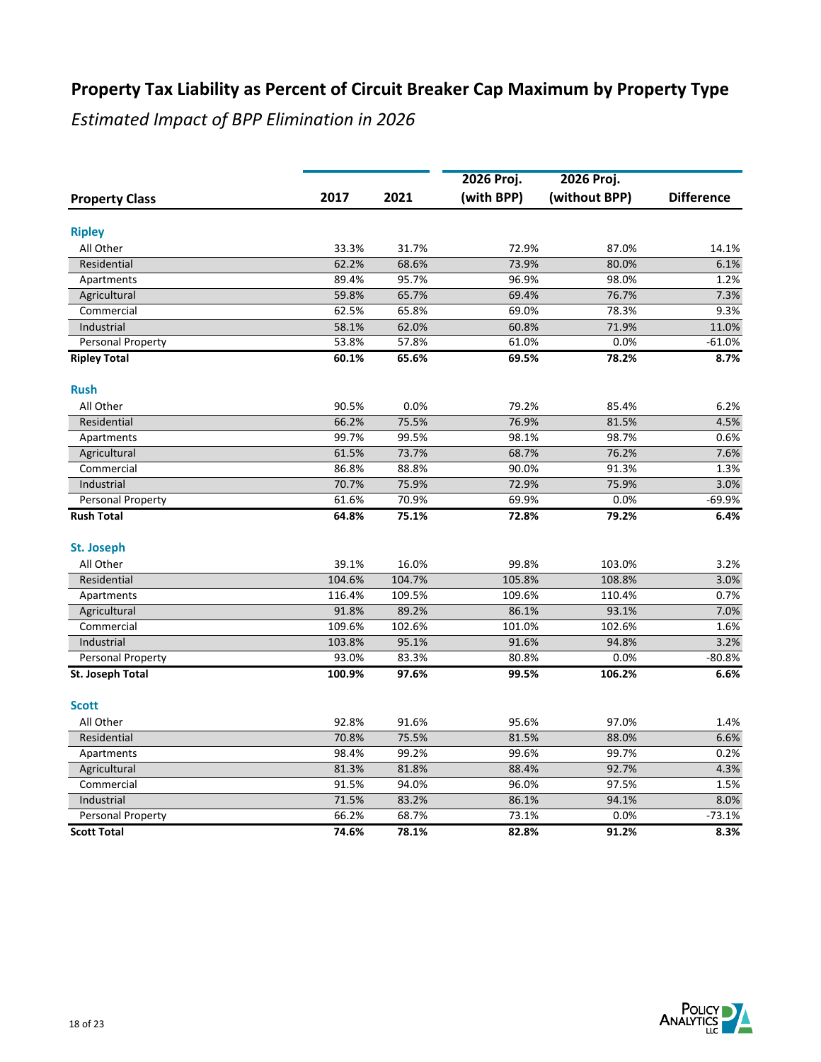|                       |        |        | 2026 Proj. |                             |                   |
|-----------------------|--------|--------|------------|-----------------------------|-------------------|
| <b>Property Class</b> | 2017   | 2021   | (with BPP) | 2026 Proj.<br>(without BPP) | <b>Difference</b> |
|                       |        |        |            |                             |                   |
| <b>Ripley</b>         |        |        |            |                             |                   |
| All Other             | 33.3%  | 31.7%  | 72.9%      | 87.0%                       | 14.1%             |
| Residential           | 62.2%  | 68.6%  | 73.9%      | 80.0%                       | 6.1%              |
| Apartments            | 89.4%  | 95.7%  | 96.9%      | 98.0%                       | 1.2%              |
| Agricultural          | 59.8%  | 65.7%  | 69.4%      | 76.7%                       | 7.3%              |
| Commercial            | 62.5%  | 65.8%  | 69.0%      | 78.3%                       | 9.3%              |
| Industrial            | 58.1%  | 62.0%  | 60.8%      | 71.9%                       | 11.0%             |
| Personal Property     | 53.8%  | 57.8%  | 61.0%      | 0.0%                        | $-61.0%$          |
| <b>Ripley Total</b>   | 60.1%  | 65.6%  | 69.5%      | 78.2%                       | 8.7%              |
| <b>Rush</b>           |        |        |            |                             |                   |
| All Other             | 90.5%  | 0.0%   | 79.2%      | 85.4%                       | 6.2%              |
| Residential           | 66.2%  | 75.5%  | 76.9%      | 81.5%                       | 4.5%              |
| Apartments            | 99.7%  | 99.5%  | 98.1%      | 98.7%                       | 0.6%              |
| Agricultural          | 61.5%  | 73.7%  | 68.7%      | 76.2%                       | 7.6%              |
| Commercial            | 86.8%  | 88.8%  | 90.0%      | 91.3%                       | 1.3%              |
| Industrial            | 70.7%  | 75.9%  | 72.9%      | 75.9%                       | 3.0%              |
| Personal Property     | 61.6%  | 70.9%  | 69.9%      | 0.0%                        | $-69.9%$          |
| <b>Rush Total</b>     | 64.8%  | 75.1%  | 72.8%      | 79.2%                       | 6.4%              |
| St. Joseph            |        |        |            |                             |                   |
| All Other             | 39.1%  | 16.0%  | 99.8%      | 103.0%                      | 3.2%              |
| Residential           | 104.6% | 104.7% | 105.8%     | 108.8%                      | 3.0%              |
| Apartments            | 116.4% | 109.5% | 109.6%     | 110.4%                      | 0.7%              |
| Agricultural          | 91.8%  | 89.2%  | 86.1%      | 93.1%                       | 7.0%              |
| Commercial            | 109.6% | 102.6% | 101.0%     | 102.6%                      | 1.6%              |
| Industrial            | 103.8% | 95.1%  | 91.6%      | 94.8%                       | 3.2%              |
| Personal Property     | 93.0%  | 83.3%  | 80.8%      | 0.0%                        | $-80.8%$          |
| St. Joseph Total      | 100.9% | 97.6%  | 99.5%      | 106.2%                      | 6.6%              |
| <b>Scott</b>          |        |        |            |                             |                   |
| All Other             | 92.8%  | 91.6%  | 95.6%      | 97.0%                       | 1.4%              |
| Residential           | 70.8%  | 75.5%  | 81.5%      | 88.0%                       | 6.6%              |
| Apartments            | 98.4%  | 99.2%  | 99.6%      | 99.7%                       | 0.2%              |
| Agricultural          | 81.3%  | 81.8%  | 88.4%      | 92.7%                       | 4.3%              |
| Commercial            | 91.5%  | 94.0%  | 96.0%      | 97.5%                       | 1.5%              |
| Industrial            | 71.5%  | 83.2%  | 86.1%      | 94.1%                       | 8.0%              |
| Personal Property     | 66.2%  | 68.7%  | 73.1%      | 0.0%                        | $-73.1%$          |
| <b>Scott Total</b>    | 74.6%  | 78.1%  | 82.8%      | 91.2%                       | 8.3%              |

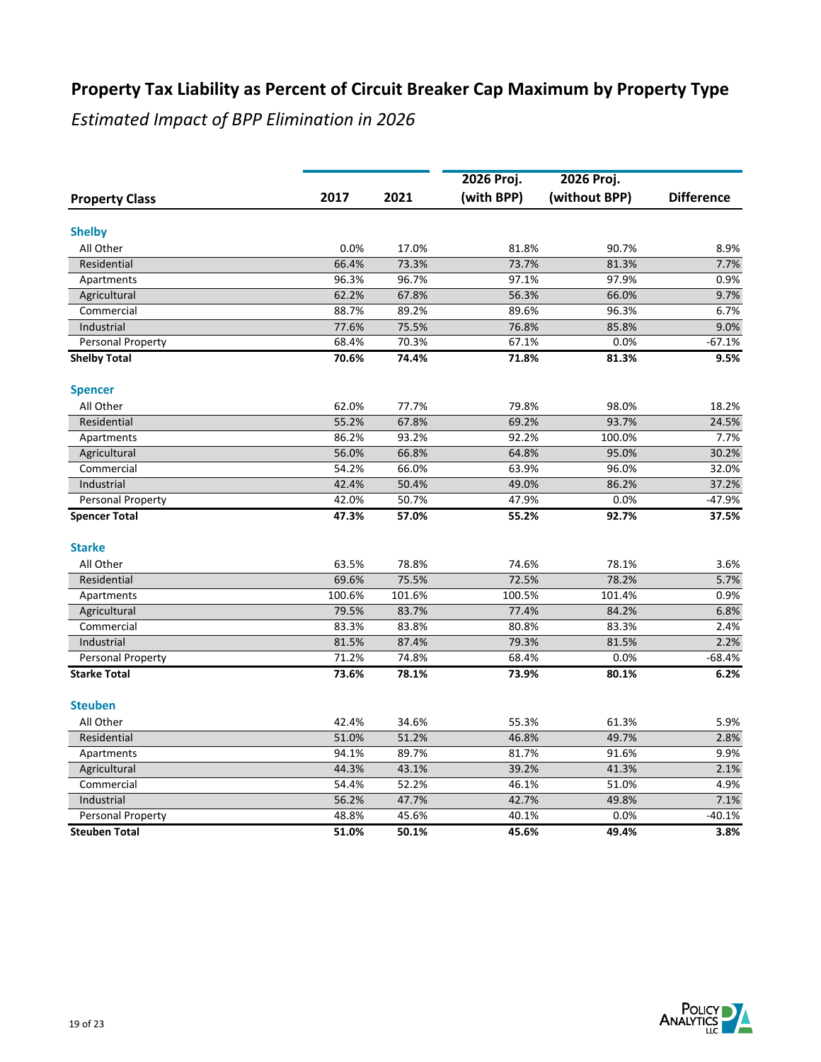|                       |        |        | 2026 Proj. | 2026 Proj.    |                   |
|-----------------------|--------|--------|------------|---------------|-------------------|
| <b>Property Class</b> | 2017   | 2021   | (with BPP) | (without BPP) | <b>Difference</b> |
| <b>Shelby</b>         |        |        |            |               |                   |
| All Other             | 0.0%   | 17.0%  | 81.8%      | 90.7%         | 8.9%              |
| Residential           | 66.4%  | 73.3%  | 73.7%      | 81.3%         | 7.7%              |
| Apartments            | 96.3%  | 96.7%  | 97.1%      | 97.9%         | 0.9%              |
| Agricultural          | 62.2%  | 67.8%  | 56.3%      | 66.0%         | 9.7%              |
| Commercial            | 88.7%  | 89.2%  | 89.6%      | 96.3%         | 6.7%              |
| Industrial            | 77.6%  | 75.5%  | 76.8%      | 85.8%         | 9.0%              |
| Personal Property     | 68.4%  | 70.3%  | 67.1%      | 0.0%          | $-67.1%$          |
| <b>Shelby Total</b>   | 70.6%  | 74.4%  | 71.8%      | 81.3%         | 9.5%              |
| <b>Spencer</b>        |        |        |            |               |                   |
| All Other             | 62.0%  | 77.7%  | 79.8%      | 98.0%         | 18.2%             |
| Residential           | 55.2%  | 67.8%  | 69.2%      | 93.7%         | 24.5%             |
| Apartments            | 86.2%  | 93.2%  | 92.2%      | 100.0%        | 7.7%              |
| Agricultural          | 56.0%  | 66.8%  | 64.8%      | 95.0%         | 30.2%             |
| Commercial            | 54.2%  | 66.0%  | 63.9%      | 96.0%         | 32.0%             |
| Industrial            | 42.4%  | 50.4%  | 49.0%      | 86.2%         | 37.2%             |
| Personal Property     | 42.0%  | 50.7%  | 47.9%      | 0.0%          | $-47.9%$          |
| <b>Spencer Total</b>  | 47.3%  | 57.0%  | 55.2%      | 92.7%         | 37.5%             |
| <b>Starke</b>         |        |        |            |               |                   |
| All Other             | 63.5%  | 78.8%  | 74.6%      | 78.1%         | 3.6%              |
| Residential           | 69.6%  | 75.5%  | 72.5%      | 78.2%         | 5.7%              |
| Apartments            | 100.6% | 101.6% | 100.5%     | 101.4%        | 0.9%              |
| Agricultural          | 79.5%  | 83.7%  | 77.4%      | 84.2%         | 6.8%              |
| Commercial            | 83.3%  | 83.8%  | 80.8%      | 83.3%         | 2.4%              |
| Industrial            | 81.5%  | 87.4%  | 79.3%      | 81.5%         | 2.2%              |
| Personal Property     | 71.2%  | 74.8%  | 68.4%      | 0.0%          | $-68.4%$          |
| <b>Starke Total</b>   | 73.6%  | 78.1%  | 73.9%      | 80.1%         | 6.2%              |
| <b>Steuben</b>        |        |        |            |               |                   |
| All Other             | 42.4%  | 34.6%  | 55.3%      | 61.3%         | 5.9%              |
| Residential           | 51.0%  | 51.2%  | 46.8%      | 49.7%         | 2.8%              |
| Apartments            | 94.1%  | 89.7%  | 81.7%      | 91.6%         | 9.9%              |
| Agricultural          | 44.3%  | 43.1%  | 39.2%      | 41.3%         | 2.1%              |
| Commercial            | 54.4%  | 52.2%  | 46.1%      | 51.0%         | 4.9%              |
| Industrial            | 56.2%  | 47.7%  | 42.7%      | 49.8%         | 7.1%              |
| Personal Property     | 48.8%  | 45.6%  | 40.1%      | 0.0%          | $-40.1%$          |
| <b>Steuben Total</b>  | 51.0%  | 50.1%  | 45.6%      | 49.4%         | 3.8%              |

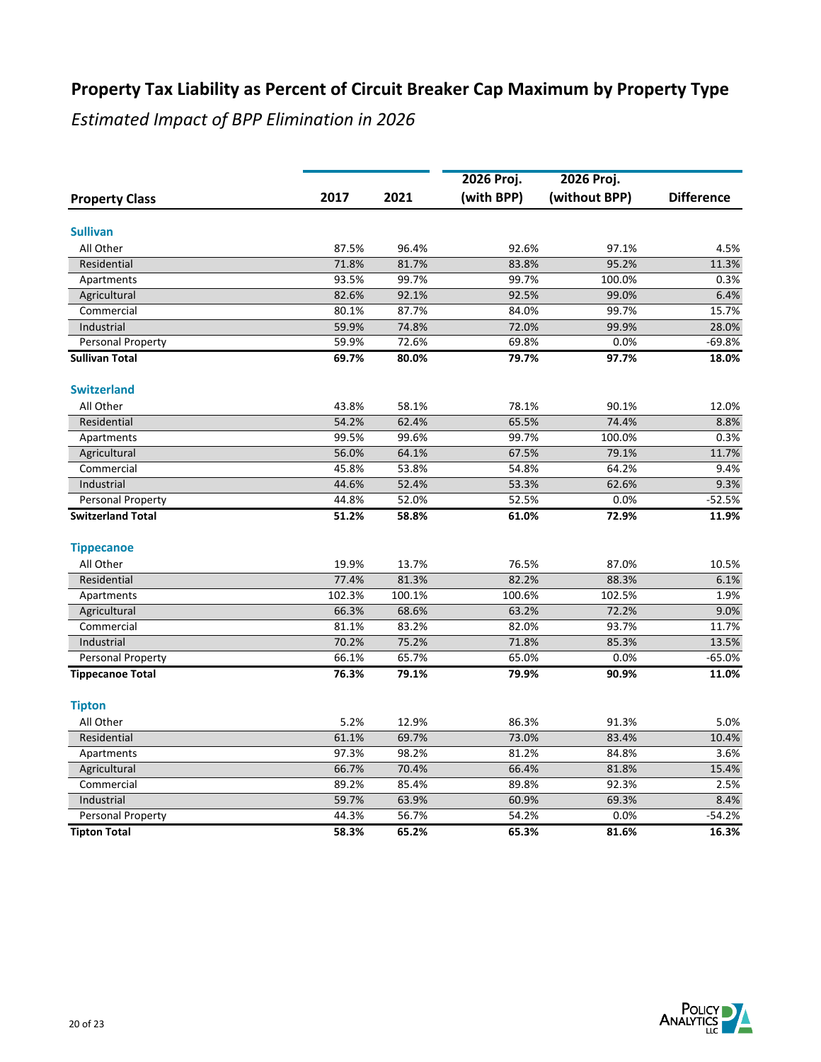|                          |        |        | 2026 Proj. | 2026 Proj.    |                   |
|--------------------------|--------|--------|------------|---------------|-------------------|
| <b>Property Class</b>    | 2017   | 2021   | (with BPP) | (without BPP) | <b>Difference</b> |
| <b>Sullivan</b>          |        |        |            |               |                   |
| All Other                | 87.5%  | 96.4%  | 92.6%      | 97.1%         | 4.5%              |
| Residential              | 71.8%  | 81.7%  | 83.8%      | 95.2%         | 11.3%             |
| Apartments               | 93.5%  | 99.7%  | 99.7%      | 100.0%        | 0.3%              |
| Agricultural             | 82.6%  | 92.1%  | 92.5%      | 99.0%         | 6.4%              |
| Commercial               | 80.1%  | 87.7%  | 84.0%      | 99.7%         | 15.7%             |
| Industrial               | 59.9%  | 74.8%  | 72.0%      | 99.9%         | 28.0%             |
| Personal Property        | 59.9%  | 72.6%  | 69.8%      | 0.0%          | $-69.8%$          |
| <b>Sullivan Total</b>    | 69.7%  | 80.0%  | 79.7%      | 97.7%         | 18.0%             |
| <b>Switzerland</b>       |        |        |            |               |                   |
| All Other                | 43.8%  | 58.1%  | 78.1%      | 90.1%         | 12.0%             |
| Residential              | 54.2%  | 62.4%  | 65.5%      | 74.4%         | 8.8%              |
| Apartments               | 99.5%  | 99.6%  | 99.7%      | 100.0%        | 0.3%              |
| Agricultural             | 56.0%  | 64.1%  | 67.5%      | 79.1%         | 11.7%             |
| Commercial               | 45.8%  | 53.8%  | 54.8%      | 64.2%         | 9.4%              |
| Industrial               | 44.6%  | 52.4%  | 53.3%      | 62.6%         | 9.3%              |
| <b>Personal Property</b> | 44.8%  | 52.0%  | 52.5%      | 0.0%          | $-52.5%$          |
| <b>Switzerland Total</b> | 51.2%  | 58.8%  | 61.0%      | 72.9%         | 11.9%             |
| <b>Tippecanoe</b>        |        |        |            |               |                   |
| All Other                | 19.9%  | 13.7%  | 76.5%      | 87.0%         | 10.5%             |
| Residential              | 77.4%  | 81.3%  | 82.2%      | 88.3%         | 6.1%              |
| Apartments               | 102.3% | 100.1% | 100.6%     | 102.5%        | 1.9%              |
| Agricultural             | 66.3%  | 68.6%  | 63.2%      | 72.2%         | 9.0%              |
| Commercial               | 81.1%  | 83.2%  | 82.0%      | 93.7%         | 11.7%             |
| Industrial               | 70.2%  | 75.2%  | 71.8%      | 85.3%         | 13.5%             |
| Personal Property        | 66.1%  | 65.7%  | 65.0%      | 0.0%          | $-65.0%$          |
| <b>Tippecanoe Total</b>  | 76.3%  | 79.1%  | 79.9%      | 90.9%         | 11.0%             |
| <b>Tipton</b>            |        |        |            |               |                   |
| All Other                | 5.2%   | 12.9%  | 86.3%      | 91.3%         | 5.0%              |
| Residential              | 61.1%  | 69.7%  | 73.0%      | 83.4%         | 10.4%             |
| Apartments               | 97.3%  | 98.2%  | 81.2%      | 84.8%         | 3.6%              |
| Agricultural             | 66.7%  | 70.4%  | 66.4%      | 81.8%         | 15.4%             |
| Commercial               | 89.2%  | 85.4%  | 89.8%      | 92.3%         | 2.5%              |
| Industrial               | 59.7%  | 63.9%  | 60.9%      | 69.3%         | 8.4%              |
| Personal Property        | 44.3%  | 56.7%  | 54.2%      | 0.0%          | $-54.2%$          |
| <b>Tipton Total</b>      | 58.3%  | 65.2%  | 65.3%      | 81.6%         | 16.3%             |

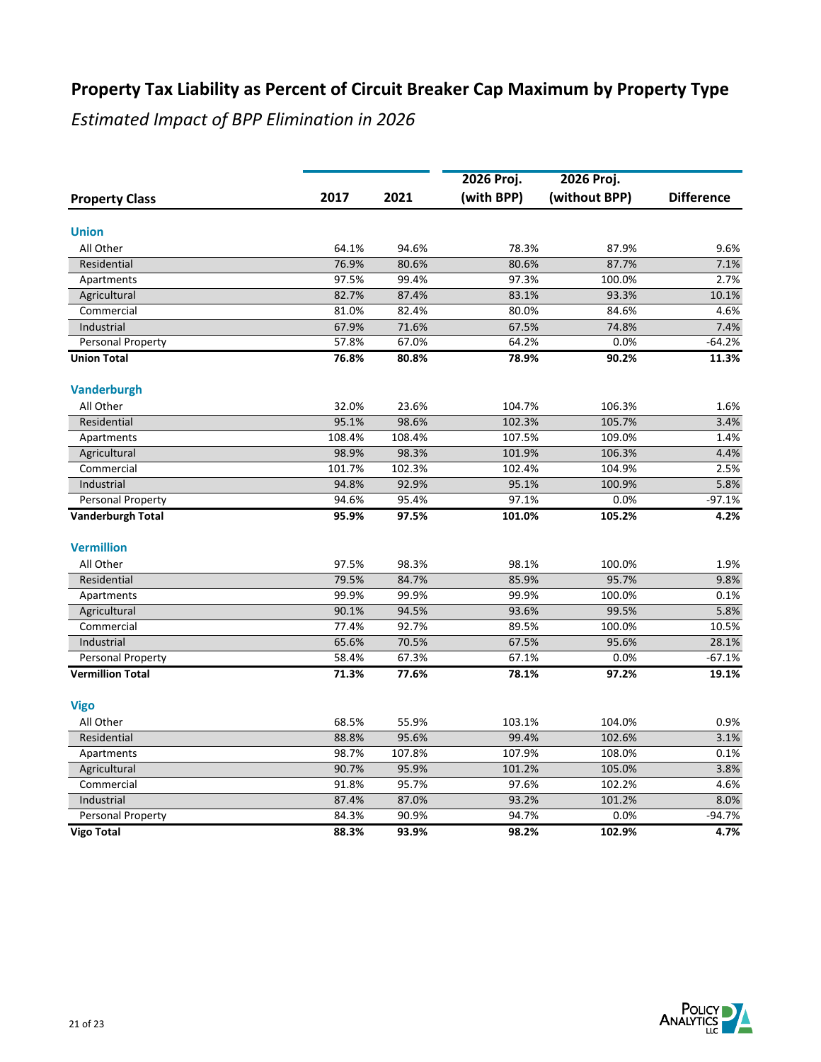|                          |        |        | 2026 Proj. | 2026 Proj.    |                   |
|--------------------------|--------|--------|------------|---------------|-------------------|
| <b>Property Class</b>    | 2017   | 2021   | (with BPP) | (without BPP) | <b>Difference</b> |
| <b>Union</b>             |        |        |            |               |                   |
| All Other                | 64.1%  | 94.6%  | 78.3%      | 87.9%         | 9.6%              |
| Residential              | 76.9%  | 80.6%  | 80.6%      | 87.7%         | 7.1%              |
| Apartments               | 97.5%  | 99.4%  | 97.3%      | 100.0%        | 2.7%              |
| Agricultural             | 82.7%  | 87.4%  | 83.1%      | 93.3%         | 10.1%             |
| Commercial               | 81.0%  | 82.4%  | 80.0%      | 84.6%         | 4.6%              |
| Industrial               | 67.9%  | 71.6%  | 67.5%      | 74.8%         | 7.4%              |
| Personal Property        | 57.8%  | 67.0%  | 64.2%      | 0.0%          | $-64.2%$          |
| <b>Union Total</b>       | 76.8%  | 80.8%  | 78.9%      | 90.2%         | 11.3%             |
| <b>Vanderburgh</b>       |        |        |            |               |                   |
| All Other                | 32.0%  | 23.6%  | 104.7%     | 106.3%        | 1.6%              |
| Residential              | 95.1%  | 98.6%  | 102.3%     | 105.7%        | 3.4%              |
| Apartments               | 108.4% | 108.4% | 107.5%     | 109.0%        | 1.4%              |
| Agricultural             | 98.9%  | 98.3%  | 101.9%     | 106.3%        | 4.4%              |
| Commercial               | 101.7% | 102.3% | 102.4%     | 104.9%        | 2.5%              |
| Industrial               | 94.8%  | 92.9%  | 95.1%      | 100.9%        | 5.8%              |
| Personal Property        | 94.6%  | 95.4%  | 97.1%      | 0.0%          | $-97.1%$          |
| <b>Vanderburgh Total</b> | 95.9%  | 97.5%  | 101.0%     | 105.2%        | 4.2%              |
| <b>Vermillion</b>        |        |        |            |               |                   |
| All Other                | 97.5%  | 98.3%  | 98.1%      | 100.0%        | 1.9%              |
| Residential              | 79.5%  | 84.7%  | 85.9%      | 95.7%         | 9.8%              |
| Apartments               | 99.9%  | 99.9%  | 99.9%      | 100.0%        | 0.1%              |
| Agricultural             | 90.1%  | 94.5%  | 93.6%      | 99.5%         | 5.8%              |
| Commercial               | 77.4%  | 92.7%  | 89.5%      | 100.0%        | 10.5%             |
| Industrial               | 65.6%  | 70.5%  | 67.5%      | 95.6%         | 28.1%             |
| Personal Property        | 58.4%  | 67.3%  | 67.1%      | 0.0%          | $-67.1%$          |
| <b>Vermillion Total</b>  | 71.3%  | 77.6%  | 78.1%      | 97.2%         | 19.1%             |
| <b>Vigo</b>              |        |        |            |               |                   |
| All Other                | 68.5%  | 55.9%  | 103.1%     | 104.0%        | 0.9%              |
| Residential              | 88.8%  | 95.6%  | 99.4%      | 102.6%        | 3.1%              |
| Apartments               | 98.7%  | 107.8% | 107.9%     | 108.0%        | 0.1%              |
| Agricultural             | 90.7%  | 95.9%  | 101.2%     | 105.0%        | 3.8%              |
| Commercial               | 91.8%  | 95.7%  | 97.6%      | 102.2%        | 4.6%              |
| Industrial               | 87.4%  | 87.0%  | 93.2%      | 101.2%        | 8.0%              |
| Personal Property        | 84.3%  | 90.9%  | 94.7%      | 0.0%          | $-94.7%$          |
| <b>Vigo Total</b>        | 88.3%  | 93.9%  | 98.2%      | 102.9%        | 4.7%              |

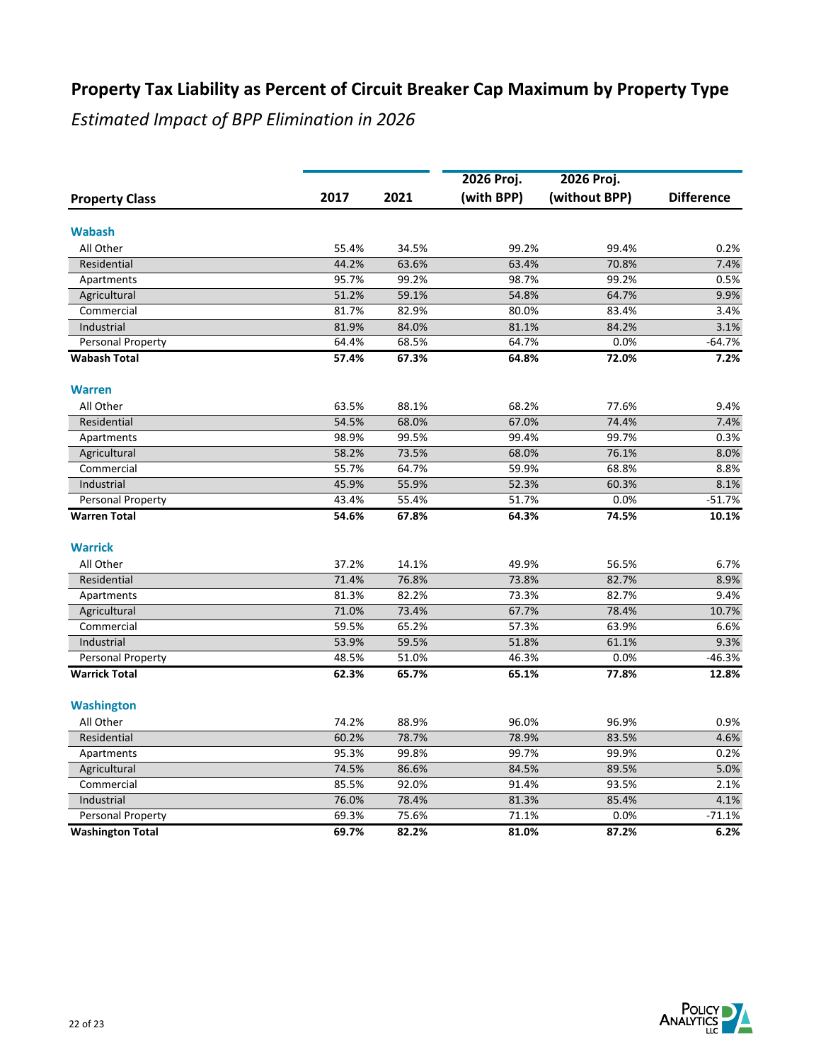|                         |                |                | 2026 Proj.     | 2026 Proj.     |                   |
|-------------------------|----------------|----------------|----------------|----------------|-------------------|
| <b>Property Class</b>   | 2017           | 2021           | (with BPP)     | (without BPP)  | <b>Difference</b> |
| <b>Wabash</b>           |                |                |                |                |                   |
| All Other               | 55.4%          | 34.5%          | 99.2%          | 99.4%          | 0.2%              |
| Residential             | 44.2%          | 63.6%          | 63.4%          | 70.8%          | 7.4%              |
|                         | 95.7%          | 99.2%          | 98.7%          | 99.2%          | 0.5%              |
| Apartments              |                |                |                |                |                   |
| Agricultural            | 51.2%<br>81.7% | 59.1%<br>82.9% | 54.8%<br>80.0% | 64.7%<br>83.4% | 9.9%              |
| Commercial              |                |                |                |                | 3.4%              |
| Industrial              | 81.9%<br>64.4% | 84.0%<br>68.5% | 81.1%<br>64.7% | 84.2%<br>0.0%  | 3.1%<br>$-64.7%$  |
| Personal Property       |                |                |                |                |                   |
| <b>Wabash Total</b>     | 57.4%          | 67.3%          | 64.8%          | 72.0%          | 7.2%              |
| <b>Warren</b>           |                |                |                |                |                   |
| All Other               | 63.5%          | 88.1%          | 68.2%          | 77.6%          | 9.4%              |
| Residential             | 54.5%          | 68.0%          | 67.0%          | 74.4%          | 7.4%              |
| Apartments              | 98.9%          | 99.5%          | 99.4%          | 99.7%          | 0.3%              |
| Agricultural            | 58.2%          | 73.5%          | 68.0%          | 76.1%          | 8.0%              |
| Commercial              | 55.7%          | 64.7%          | 59.9%          | 68.8%          | 8.8%              |
| Industrial              | 45.9%          | 55.9%          | 52.3%          | 60.3%          | 8.1%              |
| Personal Property       | 43.4%          | 55.4%          | 51.7%          | 0.0%           | $-51.7%$          |
| <b>Warren Total</b>     | 54.6%          | 67.8%          | 64.3%          | 74.5%          | 10.1%             |
| <b>Warrick</b>          |                |                |                |                |                   |
| All Other               | 37.2%          | 14.1%          | 49.9%          | 56.5%          | 6.7%              |
| Residential             | 71.4%          | 76.8%          | 73.8%          | 82.7%          | 8.9%              |
| Apartments              | 81.3%          | 82.2%          | 73.3%          | 82.7%          | 9.4%              |
| Agricultural            | 71.0%          | 73.4%          | 67.7%          | 78.4%          | 10.7%             |
| Commercial              | 59.5%          | 65.2%          | 57.3%          | 63.9%          | 6.6%              |
| Industrial              | 53.9%          | 59.5%          | 51.8%          | 61.1%          | 9.3%              |
| Personal Property       | 48.5%          | 51.0%          | 46.3%          | 0.0%           | $-46.3%$          |
| <b>Warrick Total</b>    | 62.3%          | 65.7%          | 65.1%          | 77.8%          | 12.8%             |
| <b>Washington</b>       |                |                |                |                |                   |
| All Other               | 74.2%          | 88.9%          | 96.0%          | 96.9%          | 0.9%              |
| Residential             | 60.2%          | 78.7%          | 78.9%          | 83.5%          | 4.6%              |
| Apartments              | 95.3%          | 99.8%          | 99.7%          | 99.9%          | 0.2%              |
| Agricultural            | 74.5%          | 86.6%          | 84.5%          | 89.5%          | 5.0%              |
| Commercial              | 85.5%          | 92.0%          | 91.4%          | 93.5%          | 2.1%              |
| Industrial              | 76.0%          | 78.4%          | 81.3%          | 85.4%          | 4.1%              |
| Personal Property       | 69.3%          | 75.6%          | 71.1%          | 0.0%           | $-71.1%$          |
| <b>Washington Total</b> | 69.7%          | 82.2%          | 81.0%          | 87.2%          | 6.2%              |
|                         |                |                |                |                |                   |